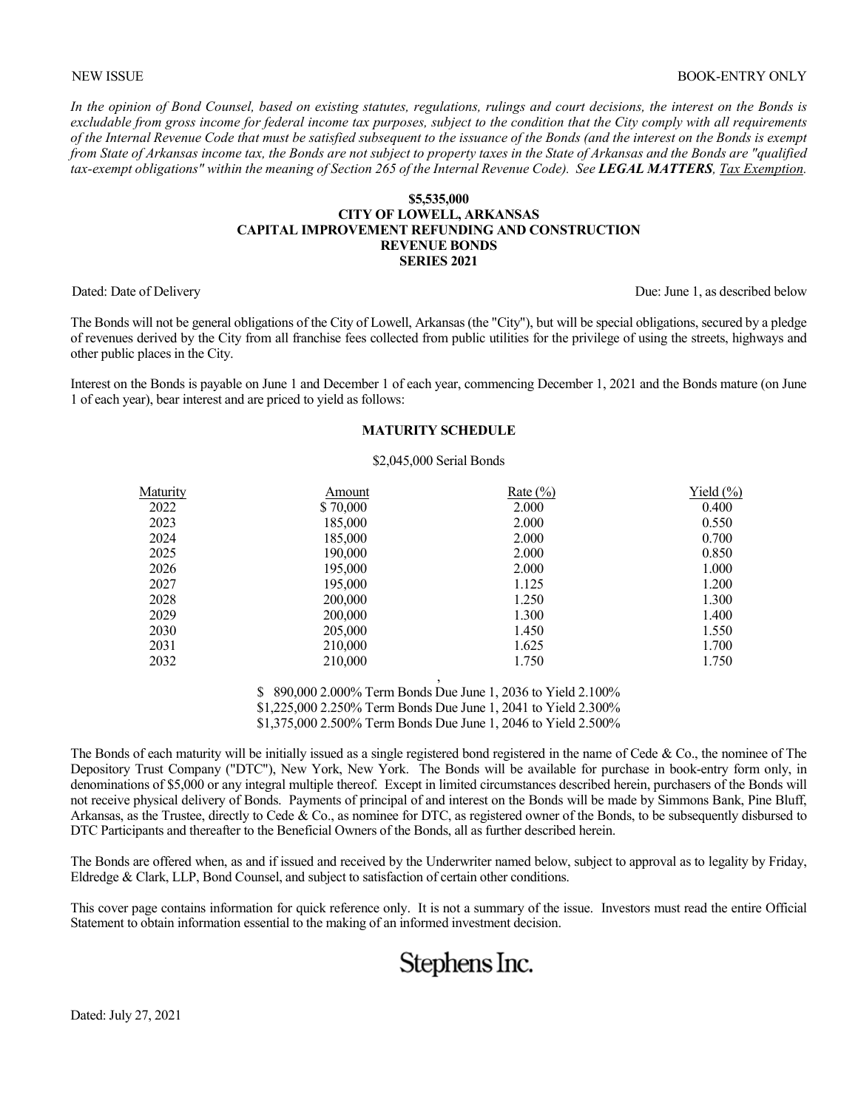*In the opinion of Bond Counsel, based on existing statutes, regulations, rulings and court decisions, the interest on the Bonds is excludable from gross income for federal income tax purposes, subject to the condition that the City comply with all requirements of the Internal Revenue Code that must be satisfied subsequent to the issuance of the Bonds (and the interest on the Bonds is exempt from State of Arkansas income tax, the Bonds are not subject to property taxes in the State of Arkansas and the Bonds are "qualified tax-exempt obligations" within the meaning of Section 265 of the Internal Revenue Code). See LEGAL MATTERS, Tax Exemption.* 

#### **\$5,535,000 CITY OF LOWELL, ARKANSAS CAPITAL IMPROVEMENT REFUNDING AND CONSTRUCTION REVENUE BONDS SERIES 2021**

Dated: Date of Delivery Due: June 1, as described below Due: June 1, as described below

The Bonds will not be general obligations of the City of Lowell, Arkansas (the "City"), but will be special obligations, secured by a pledge of revenues derived by the City from all franchise fees collected from public utilities for the privilege of using the streets, highways and other public places in the City.

Interest on the Bonds is payable on June 1 and December 1 of each year, commencing December 1, 2021 and the Bonds mature (on June 1 of each year), bear interest and are priced to yield as follows:

#### **MATURITY SCHEDULE**

#### \$2,045,000 Serial Bonds

| Maturity | Amount   | <u>Rate <math>(\%)</math></u> | Yield $(\% )$ |
|----------|----------|-------------------------------|---------------|
| 2022     | \$70,000 | 2.000                         | 0.400         |
| 2023     | 185,000  | 2.000                         | 0.550         |
| 2024     | 185,000  | 2.000                         | 0.700         |
| 2025     | 190,000  | 2.000                         | 0.850         |
| 2026     | 195,000  | 2.000                         | 1.000         |
| 2027     | 195,000  | 1.125                         | 1.200         |
| 2028     | 200,000  | 1.250                         | 1.300         |
| 2029     | 200,000  | 1.300                         | 1.400         |
| 2030     | 205,000  | 1.450                         | 1.550         |
| 2031     | 210,000  | 1.625                         | 1.700         |
| 2032     | 210,000  | 1.750                         | 1.750         |

, \$ 890,000 2.000% Term Bonds Due June 1, 2036 to Yield 2.100%

\$1,225,000 2.250% Term Bonds Due June 1, 2041 to Yield 2.300%

\$1,375,000 2.500% Term Bonds Due June 1, 2046 to Yield 2.500%

The Bonds of each maturity will be initially issued as a single registered bond registered in the name of Cede & Co., the nominee of The Depository Trust Company ("DTC"), New York, New York. The Bonds will be available for purchase in book-entry form only, in denominations of \$5,000 or any integral multiple thereof. Except in limited circumstances described herein, purchasers of the Bonds will not receive physical delivery of Bonds. Payments of principal of and interest on the Bonds will be made by Simmons Bank, Pine Bluff, Arkansas, as the Trustee, directly to Cede & Co., as nominee for DTC, as registered owner of the Bonds, to be subsequently disbursed to DTC Participants and thereafter to the Beneficial Owners of the Bonds, all as further described herein.

The Bonds are offered when, as and if issued and received by the Underwriter named below, subject to approval as to legality by Friday, Eldredge & Clark, LLP, Bond Counsel, and subject to satisfaction of certain other conditions.

This cover page contains information for quick reference only. It is not a summary of the issue. Investors must read the entire Official Statement to obtain information essential to the making of an informed investment decision.

# Stephens Inc.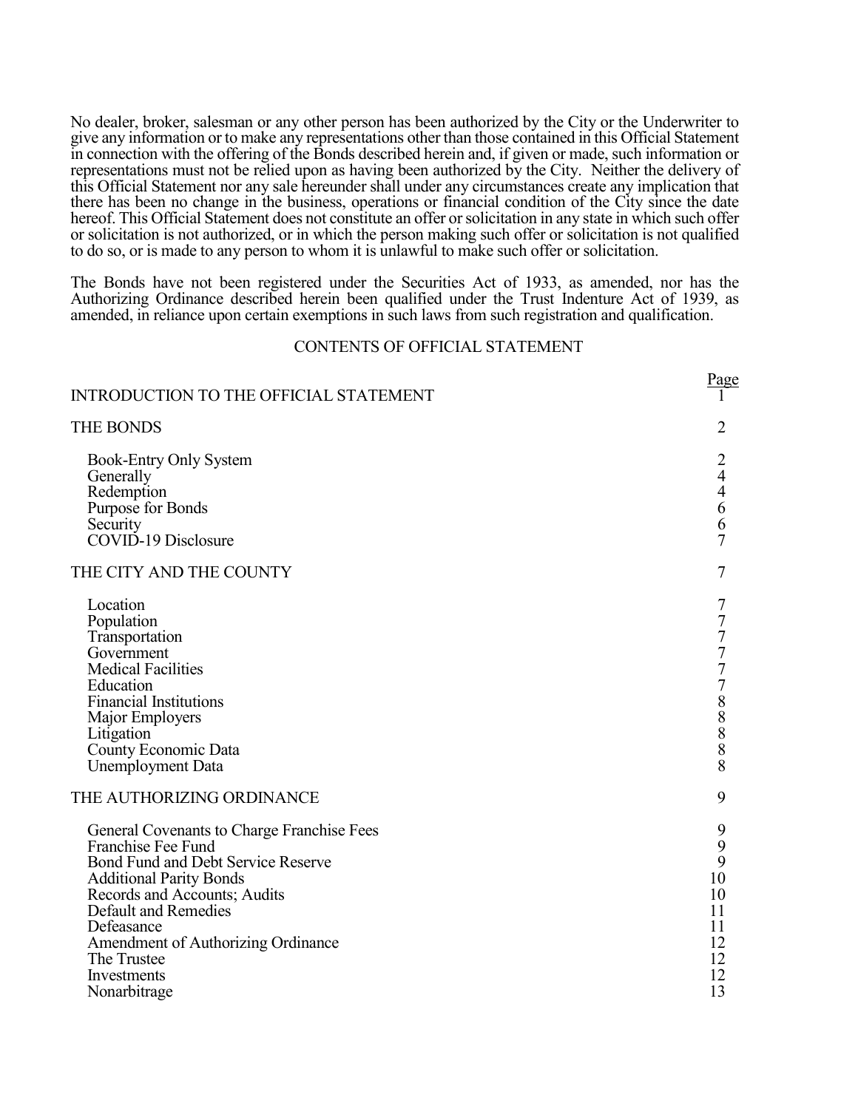No dealer, broker, salesman or any other person has been authorized by the City or the Underwriter to give any information or to make any representations other than those contained in this Official Statement in connection with the offering of the Bonds described herein and, if given or made, such information or representations must not be relied upon as having been authorized by the City. Neither the delivery of this Official Statement nor any sale hereunder shall under any circumstances create any implication that there has been no change in the business, operations or financial condition of the City since the date hereof. This Official Statement does not constitute an offer or solicitation in any state in which such offer or solicitation is not authorized, or in which the person making such offer or solicitation is not qualified to do so, or is made to any person to whom it is unlawful to make such offer or solicitation.

The Bonds have not been registered under the Securities Act of 1933, as amended, nor has the Authorizing Ordinance described herein been qualified under the Trust Indenture Act of 1939, as amended, in reliance upon certain exemptions in such laws from such registration and qualification.

# CONTENTS OF OFFICIAL STATEMENT

| <b>INTRODUCTION TO THE OFFICIAL STATEMENT</b>                                                                                                                                                                                                                                                      | Page                                                                                                                                        |
|----------------------------------------------------------------------------------------------------------------------------------------------------------------------------------------------------------------------------------------------------------------------------------------------------|---------------------------------------------------------------------------------------------------------------------------------------------|
| <b>THE BONDS</b>                                                                                                                                                                                                                                                                                   | 2                                                                                                                                           |
| Book-Entry Only System<br>Generally<br>Redemption<br>Purpose for Bonds<br>Security<br>COVID-19 Disclosure                                                                                                                                                                                          | 2<br>4<br>4<br>6<br>6<br>$\overline{7}$                                                                                                     |
| THE CITY AND THE COUNTY                                                                                                                                                                                                                                                                            | 7                                                                                                                                           |
| Location<br>Population<br>Transportation<br>Government<br><b>Medical Facilities</b><br>Education<br><b>Financial Institutions</b><br>Major Employers<br>Litigation<br>County Economic Data<br><b>Unemployment Data</b>                                                                             | 7<br>$\begin{array}{c} 7 \\ 7 \\ 7 \end{array}$<br>$\overline{7}$<br>$\overline{7}$<br>$\begin{array}{c} 8 \\ 8 \\ 8 \\ 8 \end{array}$<br>8 |
| THE AUTHORIZING ORDINANCE                                                                                                                                                                                                                                                                          | 9                                                                                                                                           |
| General Covenants to Charge Franchise Fees<br>Franchise Fee Fund<br>Bond Fund and Debt Service Reserve<br><b>Additional Parity Bonds</b><br>Records and Accounts; Audits<br>Default and Remedies<br>Defeasance<br>Amendment of Authorizing Ordinance<br>The Trustee<br>Investments<br>Nonarbitrage | 9<br>9<br>9<br>10<br>10<br>11<br>11<br>12<br>12<br>12<br>13                                                                                 |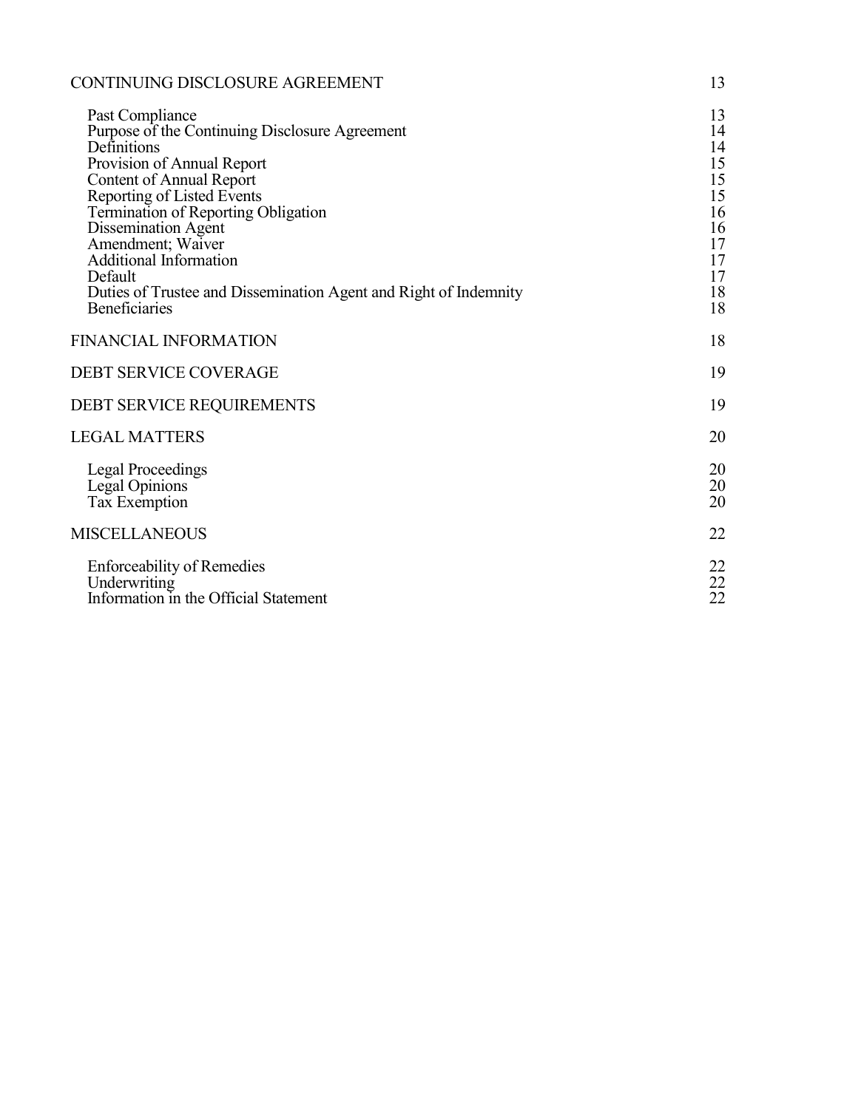| CONTINUING DISCLOSURE AGREEMENT                                                                                                                                                                                                                                                                                                                                                                            | 13                                                                         |
|------------------------------------------------------------------------------------------------------------------------------------------------------------------------------------------------------------------------------------------------------------------------------------------------------------------------------------------------------------------------------------------------------------|----------------------------------------------------------------------------|
| Past Compliance<br>Purpose of the Continuing Disclosure Agreement<br>Definitions<br>Provision of Annual Report<br><b>Content of Annual Report</b><br>Reporting of Listed Events<br>Termination of Reporting Obligation<br>Dissemination Agent<br>Amendment; Waiver<br><b>Additional Information</b><br>Default<br>Duties of Trustee and Dissemination Agent and Right of Indemnity<br><b>Beneficiaries</b> | 13<br>14<br>14<br>15<br>15<br>15<br>16<br>16<br>17<br>17<br>17<br>18<br>18 |
| <b>FINANCIAL INFORMATION</b>                                                                                                                                                                                                                                                                                                                                                                               | 18                                                                         |
| <b>DEBT SERVICE COVERAGE</b>                                                                                                                                                                                                                                                                                                                                                                               | 19                                                                         |
| DEBT SERVICE REQUIREMENTS                                                                                                                                                                                                                                                                                                                                                                                  | 19                                                                         |
| <b>LEGAL MATTERS</b>                                                                                                                                                                                                                                                                                                                                                                                       | 20                                                                         |
| <b>Legal Proceedings</b><br>Legal Opinions<br>Tax Exemption                                                                                                                                                                                                                                                                                                                                                | 20<br>20<br>20                                                             |
| <b>MISCELLANEOUS</b>                                                                                                                                                                                                                                                                                                                                                                                       | 22                                                                         |
| <b>Enforceability of Remedies</b><br>Underwriting<br>Information in the Official Statement                                                                                                                                                                                                                                                                                                                 | 22<br>22<br>22                                                             |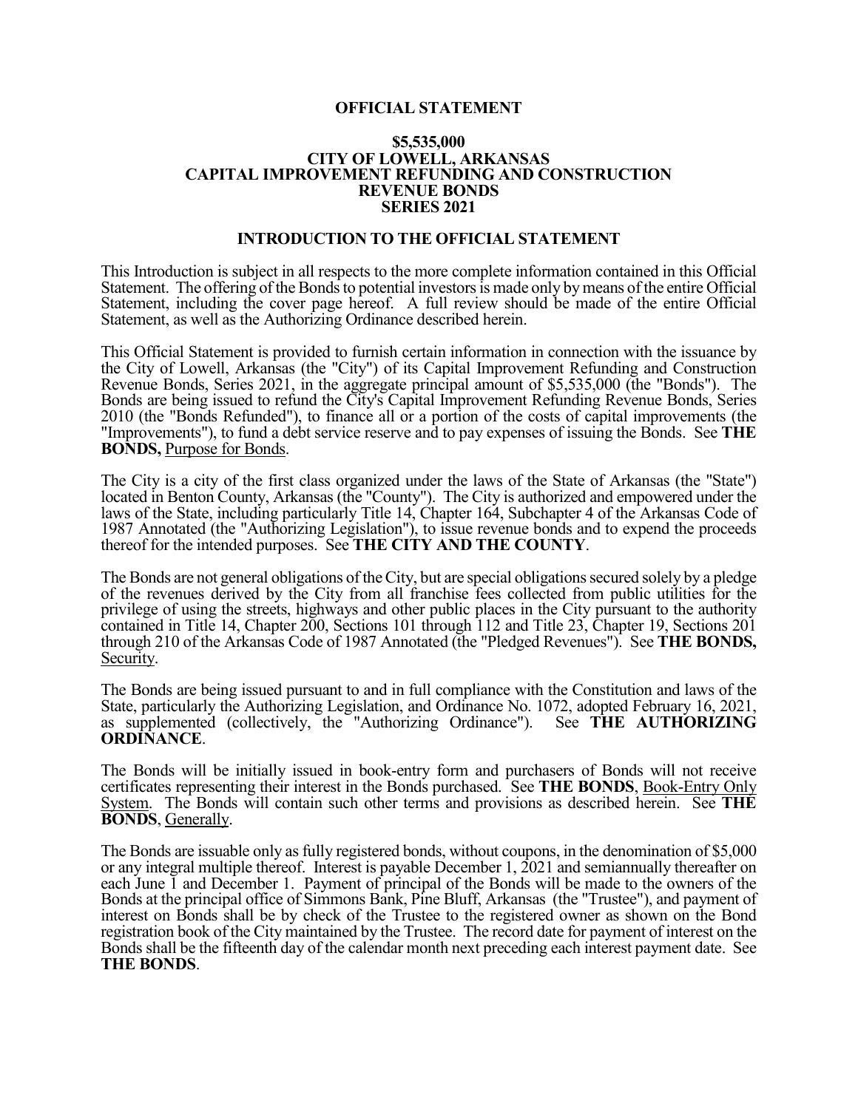## **OFFICIAL STATEMENT**

#### **\$5,535,000 CITY OF LOWELL, ARKANSAS CAPITAL IMPROVEMENT REFUNDING AND CONSTRUCTION REVENUE BONDS SERIES 2021**

#### **INTRODUCTION TO THE OFFICIAL STATEMENT**

This Introduction is subject in all respects to the more complete information contained in this Official Statement. The offering of the Bonds to potential investors is made only by means of the entire Official Statement, including the cover page hereof. A full review should be made of the entire Official Statement, as well as the Authorizing Ordinance described herein.

This Official Statement is provided to furnish certain information in connection with the issuance by the City of Lowell, Arkansas (the "City") of its Capital Improvement Refunding and Construction Revenue Bonds, Series 2021, in the aggregate principal amount of \$5,535,000 (the "Bonds"). The Bonds are being issued to refund the City's Capital Improvement Refunding Revenue Bonds, Series 2010 (the "Bonds Refunded"), to finance all or a portion of the costs of capital improvements (the "Improvements"), to fund a debt service reserve and to pay expenses of issuing the Bonds. See **THE BONDS,** Purpose for Bonds.

The City is a city of the first class organized under the laws of the State of Arkansas (the "State") located in Benton County, Arkansas (the "County"). The City is authorized and empowered under the laws of the State, including particularly Title 14, Chapter 164, Subchapter 4 of the Arkansas Code of 1987 Annotated (the "Authorizing Legislation"), to issue revenue bonds and to expend the proceeds thereof for the intended purposes. See **THE CITY AND THE COUNTY**.

The Bonds are not general obligations of the City, but are special obligations secured solely by a pledge of the revenues derived by the City from all franchise fees collected from public utilities for the privilege of using the streets, highways and other public places in the City pursuant to the authority contained in Title 14, Chapter 200, Sections 101 through 112 and Title 23, Chapter 19, Sections 201 through 210 of the Arkansas Code of 1987 Annotated (the "Pledged Revenues"). See **THE BONDS,** Security.

The Bonds are being issued pursuant to and in full compliance with the Constitution and laws of the State, particularly the Authorizing Legislation, and Ordinance No. 1072, adopted February 16, 2021, as supplemented (collectively, the "Authorizing Ordinance"). See **THE AUTHORIZING ORDINANCE**.

The Bonds will be initially issued in book-entry form and purchasers of Bonds will not receive certificates representing their interest in the Bonds purchased. See **THE BONDS**, Book-Entry Only System. The Bonds will contain such other terms and provisions as described herein. See **THE BONDS**, Generally.

The Bonds are issuable only as fully registered bonds, without coupons, in the denomination of \$5,000 or any integral multiple thereof. Interest is payable December 1, 2021 and semiannually thereafter on each June 1 and December 1. Payment of principal of the Bonds will be made to the owners of the Bonds at the principal office of Simmons Bank, Pine Bluff, Arkansas (the "Trustee"), and payment of interest on Bonds shall be by check of the Trustee to the registered owner as shown on the Bond registration book of the City maintained by the Trustee. The record date for payment of interest on the Bonds shall be the fifteenth day of the calendar month next preceding each interest payment date. See **THE BONDS**.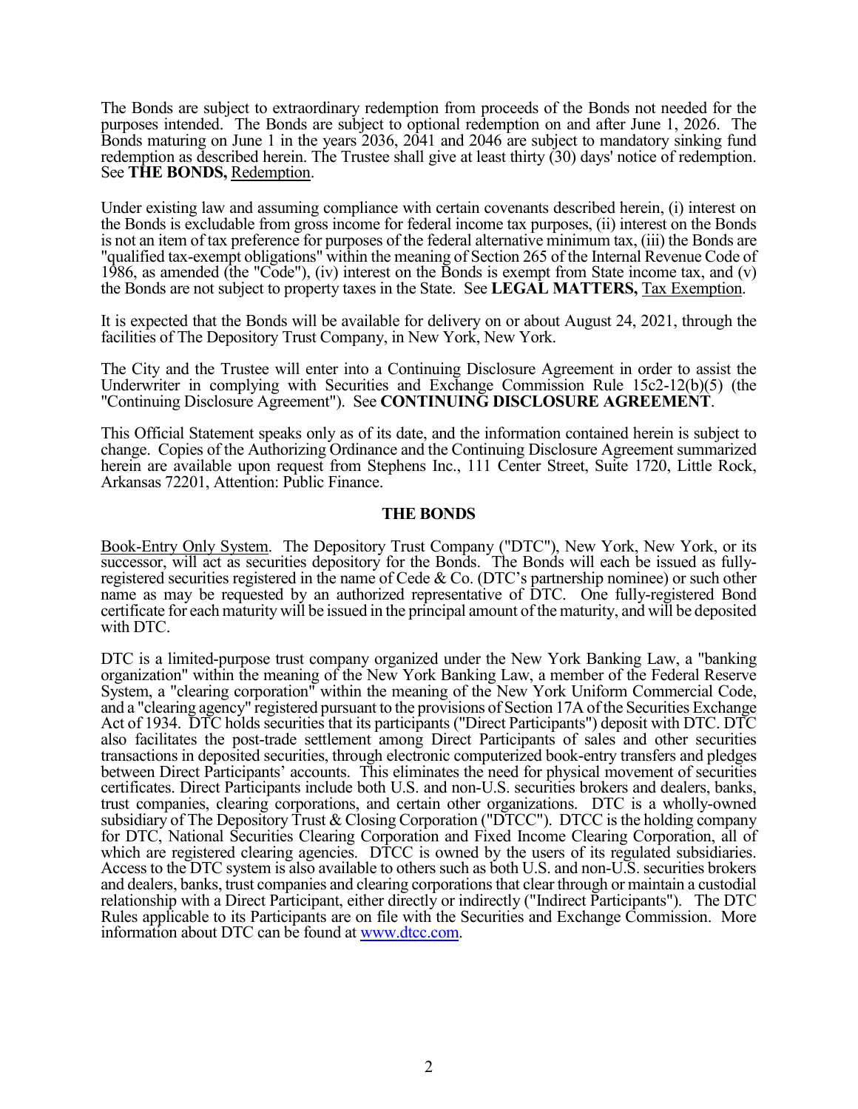The Bonds are subject to extraordinary redemption from proceeds of the Bonds not needed for the purposes intended. The Bonds are subject to optional redemption on and after June 1, 2026. The Bonds maturing on June 1 in the years 2036, 2041 and 2046 are subject to mandatory sinking fund redemption as described herein. The Trustee shall give at least thirty (30) days' notice of redemption. See **THE BONDS,** Redemption.

Under existing law and assuming compliance with certain covenants described herein, (i) interest on the Bonds is excludable from gross income for federal income tax purposes, (ii) interest on the Bonds is not an item of tax preference for purposes of the federal alternative minimum tax, (iii) the Bonds are "qualified tax-exempt obligations" within the meaning of Section 265 of the Internal Revenue Code of 1986, as amended (the "Code"), (iv) interest on the Bonds is exempt from State income tax, and (v) the Bonds are not subject to property taxes in the State. See **LEGAL MATTERS,** Tax Exemption.

It is expected that the Bonds will be available for delivery on or about August 24, 2021, through the facilities of The Depository Trust Company, in New York, New York.

The City and the Trustee will enter into a Continuing Disclosure Agreement in order to assist the Underwriter in complying with Securities and Exchange Commission Rule 15c2-12(b)(5) (the "Continuing Disclosure Agreement"). See **CONTINUING DISCLOSURE AGREEMENT**.

This Official Statement speaks only as of its date, and the information contained herein is subject to change. Copies of the Authorizing Ordinance and the Continuing Disclosure Agreement summarized herein are available upon request from Stephens Inc., 111 Center Street, Suite 1720, Little Rock, Arkansas 72201, Attention: Public Finance.

## **THE BONDS**

Book-Entry Only System. The Depository Trust Company ("DTC"), New York, New York, or its successor, will act as securities depository for the Bonds. The Bonds will each be issued as fullyregistered securities registered in the name of Cede & Co. (DTC's partnership nominee) or such other name as may be requested by an authorized representative of DTC. One fully-registered Bond certificate for each maturity will be issued in the principal amount of the maturity, and will be deposited with DTC.

DTC is a limited-purpose trust company organized under the New York Banking Law, a "banking organization" within the meaning of the New York Banking Law, a member of the Federal Reserve System, a "clearing corporation" within the meaning of the New York Uniform Commercial Code, and a "clearing agency" registered pursuant to the provisions of Section 17A of the Securities Exchange Act of 1934. DTC holds securities that its participants ("Direct Participants") deposit with DTC. DTC also facilitates the post-trade settlement among Direct Participants of sales and other securities transactions in deposited securities, through electronic computerized book-entry transfers and pledges between Direct Participants' accounts. This eliminates the need for physical movement of securities certificates. Direct Participants include both U.S. and non-U.S. securities brokers and dealers, banks, trust companies, clearing corporations, and certain other organizations. DTC is a wholly-owned subsidiary of The Depository Trust & Closing Corporation ("DTCC"). DTCC is the holding company for DTC, National Securities Clearing Corporation and Fixed Income Clearing Corporation, all of which are registered clearing agencies. DTCC is owned by the users of its regulated subsidiaries. Access to the DTC system is also available to others such as both U.S. and non-U.S. securities brokers and dealers, banks, trust companies and clearing corporations that clear through or maintain a custodial relationship with a Direct Participant, either directly or indirectly ("Indirect Participants"). The DTC Rules applicable to its Participants are on file with the Securities and Exchange Commission. More information about DTC can be found at www.dtcc.com.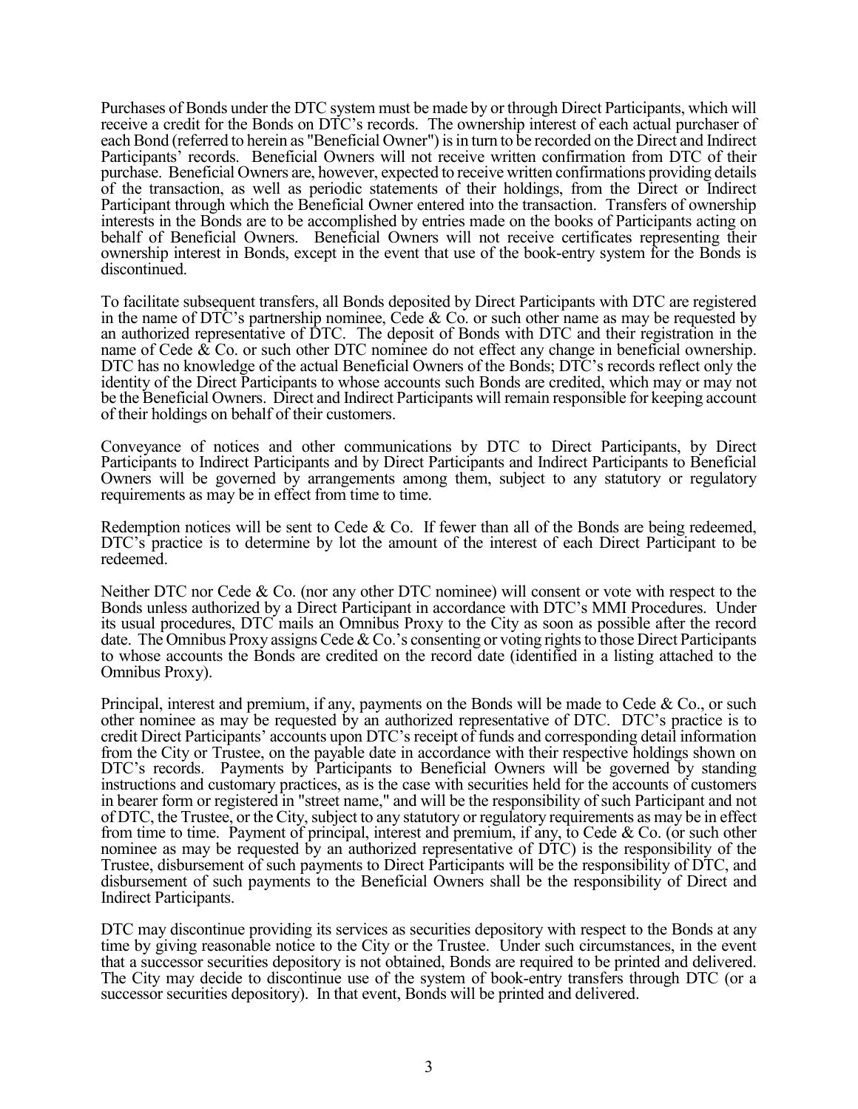Purchases of Bonds under the DTC system must be made by or through Direct Participants, which will receive a credit for the Bonds on DTC's records. The ownership interest of each actual purchaser of each Bond (referred to herein as "Beneficial Owner") is in turn to be recorded on the Direct and Indirect Participants' records. Beneficial Owners will not receive written confirmation from DTC of their purchase. Beneficial Owners are, however, expected to receive written confirmations providing details of the transaction, as well as periodic statements of their holdings, from the Direct or Indirect Participant through which the Beneficial Owner entered into the transaction. Transfers of ownership interests in the Bonds are to be accomplished by entries made on the books of Participants acting on behalf of Beneficial Owners. Beneficial Owners will not receive certificates representing their ownership interest in Bonds, except in the event that use of the book-entry system for the Bonds is discontinued.

To facilitate subsequent transfers, all Bonds deposited by Direct Participants with DTC are registered in the name of DTC's partnership nominee, Cede & Co. or such other name as may be requested by an authorized representative of DTC. The deposit of Bonds with DTC and their registration in the name of Cede  $\&$  Co. or such other DTC nominee do not effect any change in beneficial ownership. DTC has no knowledge of the actual Beneficial Owners of the Bonds; DTC's records reflect only the identity of the Direct Participants to whose accounts such Bonds are credited, which may or may not be the Beneficial Owners. Direct and Indirect Participants will remain responsible for keeping account of their holdings on behalf of their customers.

Conveyance of notices and other communications by DTC to Direct Participants, by Direct Participants to Indirect Participants and by Direct Participants and Indirect Participants to Beneficial Owners will be governed by arrangements among them, subject to any statutory or regulatory requirements as may be in effect from time to time.

Redemption notices will be sent to Cede  $&$  Co. If fewer than all of the Bonds are being redeemed, DTC's practice is to determine by lot the amount of the interest of each Direct Participant to be redeemed.

Neither DTC nor Cede & Co. (nor any other DTC nominee) will consent or vote with respect to the Bonds unless authorized by a Direct Participant in accordance with DTC's MMI Procedures. Under its usual procedures, DTC mails an Omnibus Proxy to the City as soon as possible after the record date. The Omnibus Proxy assigns Cede & Co.'s consenting or voting rights to those Direct Participants to whose accounts the Bonds are credited on the record date (identified in a listing attached to the Omnibus Proxy).

Principal, interest and premium, if any, payments on the Bonds will be made to Cede & Co., or such other nominee as may be requested by an authorized representative of DTC. DTC's practice is to credit Direct Participants' accounts upon DTC's receipt of funds and corresponding detail information from the City or Trustee, on the payable date in accordance with their respective holdings shown on DTC's records. Payments by Participants to Beneficial Owners will be governed by standing instructions and customary practices, as is the case with securities held for the accounts of customers in bearer form or registered in "street name," and will be the responsibility of such Participant and not of DTC, the Trustee, or the City, subject to any statutory or regulatory requirements as may be in effect from time to time. Payment of principal, interest and premium, if any, to Cede & Co. (or such other nominee as may be requested by an authorized representative of DTC) is the responsibility of the Trustee, disbursement of such payments to Direct Participants will be the responsibility of DTC, and disbursement of such payments to the Beneficial Owners shall be the responsibility of Direct and Indirect Participants.

DTC may discontinue providing its services as securities depository with respect to the Bonds at any time by giving reasonable notice to the City or the Trustee. Under such circumstances, in the event that a successor securities depository is not obtained, Bonds are required to be printed and delivered. The City may decide to discontinue use of the system of book-entry transfers through DTC (or a successor securities depository). In that event, Bonds will be printed and delivered.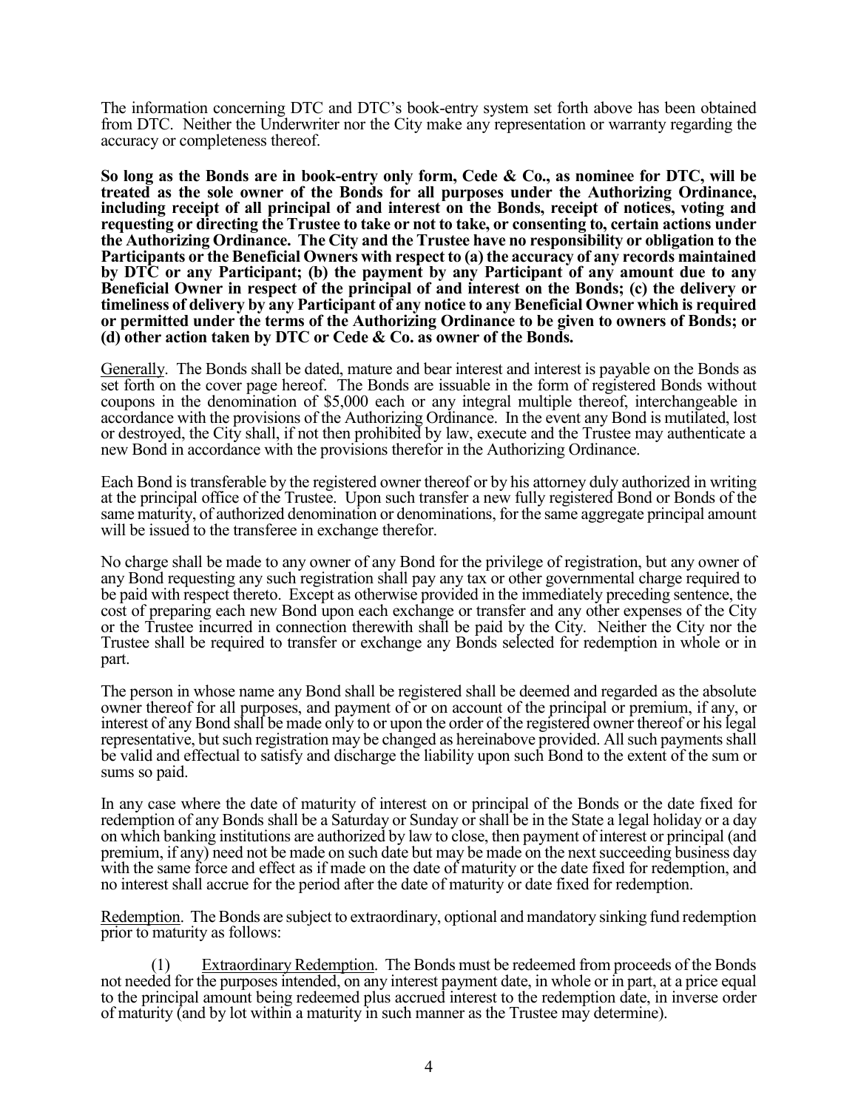The information concerning DTC and DTC's book-entry system set forth above has been obtained from DTC. Neither the Underwriter nor the City make any representation or warranty regarding the accuracy or completeness thereof.

**So long as the Bonds are in book-entry only form, Cede & Co., as nominee for DTC, will be treated as the sole owner of the Bonds for all purposes under the Authorizing Ordinance, including receipt of all principal of and interest on the Bonds, receipt of notices, voting and requesting or directing the Trustee to take or not to take, or consenting to, certain actions under the Authorizing Ordinance. The City and the Trustee have no responsibility or obligation to the Participants or the Beneficial Owners with respect to (a) the accuracy of any records maintained by DTC or any Participant; (b) the payment by any Participant of any amount due to any Beneficial Owner in respect of the principal of and interest on the Bonds; (c) the delivery or timeliness of delivery by any Participant of any notice to any Beneficial Owner which is required or permitted under the terms of the Authorizing Ordinance to be given to owners of Bonds; or (d) other action taken by DTC or Cede & Co. as owner of the Bonds.**

Generally. The Bonds shall be dated, mature and bear interest and interest is payable on the Bonds as set forth on the cover page hereof. The Bonds are issuable in the form of registered Bonds without coupons in the denomination of \$5,000 each or any integral multiple thereof, interchangeable in accordance with the provisions of the Authorizing Ordinance. In the event any Bond is mutilated, lost or destroyed, the City shall, if not then prohibited by law, execute and the Trustee may authenticate a new Bond in accordance with the provisions therefor in the Authorizing Ordinance.

Each Bond is transferable by the registered owner thereof or by his attorney duly authorized in writing at the principal office of the Trustee. Upon such transfer a new fully registered Bond or Bonds of the same maturity, of authorized denomination or denominations, for the same aggregate principal amount will be issued to the transferee in exchange therefor.

No charge shall be made to any owner of any Bond for the privilege of registration, but any owner of any Bond requesting any such registration shall pay any tax or other governmental charge required to be paid with respect thereto. Except as otherwise provided in the immediately preceding sentence, the cost of preparing each new Bond upon each exchange or transfer and any other expenses of the City or the Trustee incurred in connection therewith shall be paid by the City. Neither the City nor the Trustee shall be required to transfer or exchange any Bonds selected for redemption in whole or in part.

The person in whose name any Bond shall be registered shall be deemed and regarded as the absolute owner thereof for all purposes, and payment of or on account of the principal or premium, if any, or interest of any Bond shall be made only to or upon the order of the registered owner thereof or his legal representative, but such registration may be changed as hereinabove provided. All such payments shall be valid and effectual to satisfy and discharge the liability upon such Bond to the extent of the sum or sums so paid.

In any case where the date of maturity of interest on or principal of the Bonds or the date fixed for redemption of any Bonds shall be a Saturday or Sunday or shall be in the State a legal holiday or a day on which banking institutions are authorized by law to close, then payment of interest or principal (and premium, if any) need not be made on such date but may be made on the next succeeding business day with the same force and effect as if made on the date of maturity or the date fixed for redemption, and no interest shall accrue for the period after the date of maturity or date fixed for redemption.

Redemption. The Bonds are subject to extraordinary, optional and mandatory sinking fund redemption prior to maturity as follows:

Extraordinary Redemption. The Bonds must be redeemed from proceeds of the Bonds not needed for the purposes intended, on any interest payment date, in whole or in part, at a price equal to the principal amount being redeemed plus accrued interest to the redemption date, in inverse order of maturity (and by lot within a maturity in such manner as the Trustee may determine).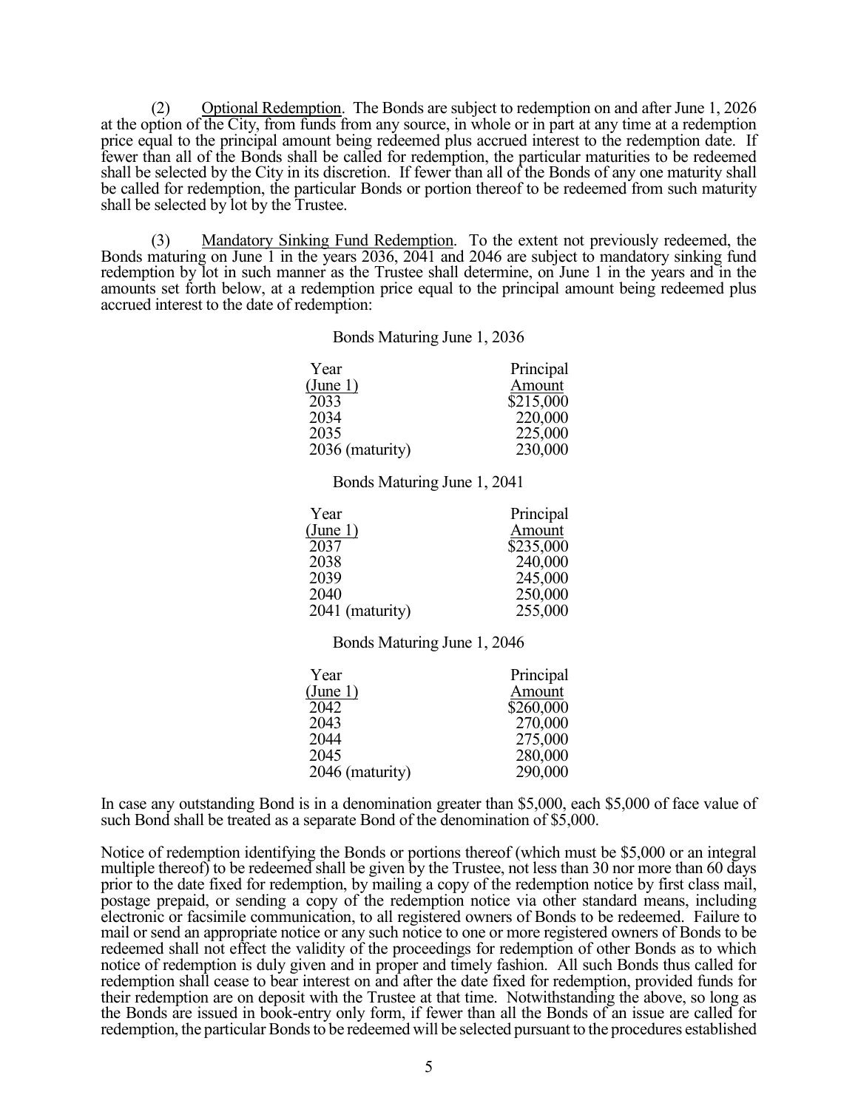(2) Optional Redemption. The Bonds are subject to redemption on and after June 1, 2026 at the option of the City, from funds from any source, in whole or in part at any time at a redemption price equal to the principal amount being redeemed plus accrued interest to the redemption date. If fewer than all of the Bonds shall be called for redemption, the particular maturities to be redeemed shall be selected by the City in its discretion. If fewer than all of the Bonds of any one maturity shall be called for redemption, the particular Bonds or portion thereof to be redeemed from such maturity shall be selected by lot by the Trustee.

(3)Mandatory Sinking Fund Redemption. To the extent not previously redeemed, the Bonds maturing on June 1 in the years 2036, 2041 and 2046 are subject to mandatory sinking fund redemption by lot in such manner as the Trustee shall determine, on June 1 in the years and in the amounts set forth below, at a redemption price equal to the principal amount being redeemed plus accrued interest to the date of redemption:

Bonds Maturing June 1, 2036

| Year            | Principal |
|-----------------|-----------|
| (June 1)        | Amount    |
| 2033            | \$215,000 |
| 2034            | 220,000   |
| 2035            | 225,000   |
| 2036 (maturity) | 230,000   |

Bonds Maturing June 1, 2041

| Principal |
|-----------|
| Amount    |
| \$235,000 |
| 240,000   |
| 245,000   |
| 250,000   |
| 255,000   |
|           |

Bonds Maturing June 1, 2046

| Year            | Principal |
|-----------------|-----------|
| (June 1)        | Amount    |
| 2042            | \$260,000 |
| 2043            | 270,000   |
| 2044            | 275,000   |
| 2045            | 280,000   |
| 2046 (maturity) | 290,000   |

In case any outstanding Bond is in a denomination greater than \$5,000, each \$5,000 of face value of such Bond shall be treated as a separate Bond of the denomination of \$5,000.

Notice of redemption identifying the Bonds or portions thereof (which must be \$5,000 or an integral multiple thereof) to be redeemed shall be given by the Trustee, not less than 30 nor more than 60 days prior to the date fixed for redemption, by mailing a copy of the redemption notice by first class mail, postage prepaid, or sending a copy of the redemption notice via other standard means, including electronic or facsimile communication, to all registered owners of Bonds to be redeemed. Failure to mail or send an appropriate notice or any such notice to one or more registered owners of Bonds to be redeemed shall not effect the validity of the proceedings for redemption of other Bonds as to which notice of redemption is duly given and in proper and timely fashion. All such Bonds thus called for redemption shall cease to bear interest on and after the date fixed for redemption, provided funds for their redemption are on deposit with the Trustee at that time. Notwithstanding the above, so long as the Bonds are issued in book-entry only form, if fewer than all the Bonds of an issue are called for redemption, the particular Bonds to be redeemed will be selected pursuant to the procedures established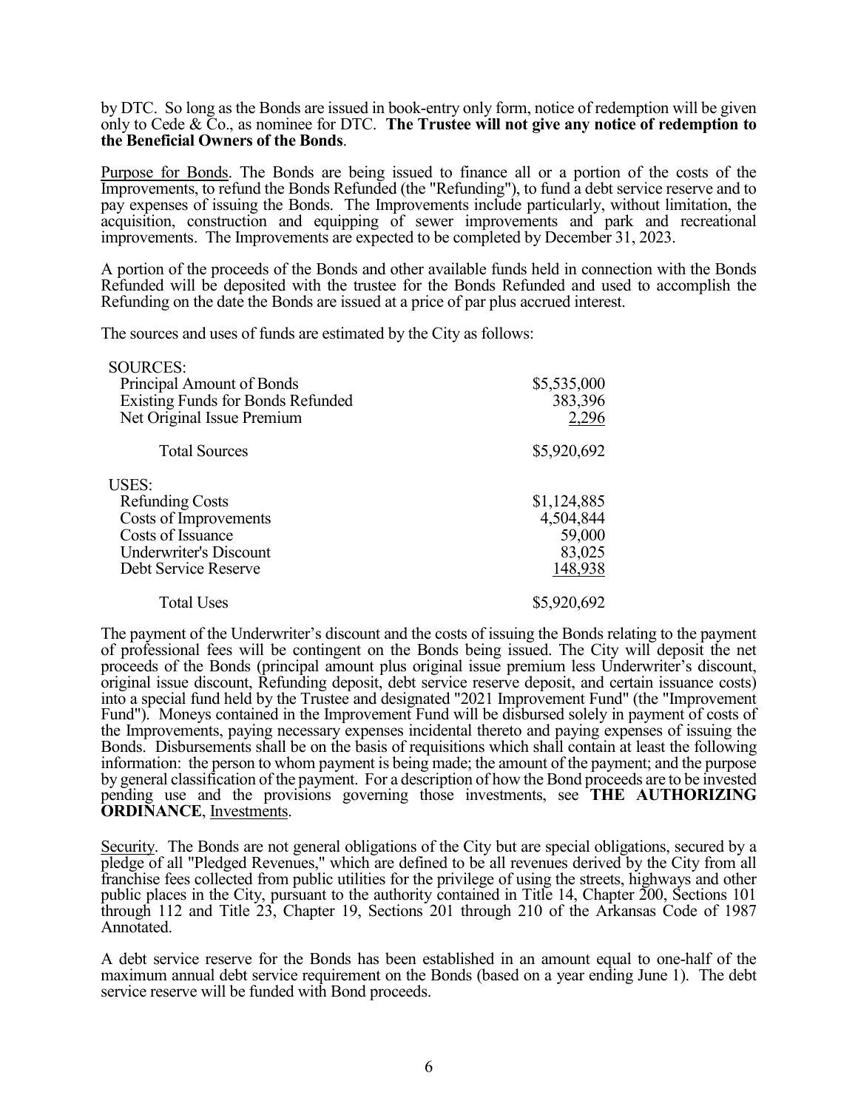by DTC. So long as the Bonds are issued in book-entry only form, notice of redemption will be given only to Cede & Co., as nominee for DTC. **The Trustee will not give any notice of redemption to the Beneficial Owners of the Bonds**.

Purpose for Bonds. The Bonds are being issued to finance all or a portion of the costs of the Improvements, to refund the Bonds Refunded (the "Refunding"), to fund a debt service reserve and to pay expenses of issuing the Bonds. The Improvements include particularly, without limitation, the acquisition, construction and equipping of sewer improvements and park and recreational improvements. The Improvements are expected to be completed by December 31, 2023.

A portion of the proceeds of the Bonds and other available funds held in connection with the Bonds Refunded will be deposited with the trustee for the Bonds Refunded and used to accomplish the Refunding on the date the Bonds are issued at a price of par plus accrued interest.

The sources and uses of funds are estimated by the City as follows:

| <b>SOURCES:</b>                          |             |
|------------------------------------------|-------------|
| Principal Amount of Bonds                | \$5,535,000 |
| <b>Existing Funds for Bonds Refunded</b> | 383,396     |
| Net Original Issue Premium               | 2,296       |
| <b>Total Sources</b>                     | \$5,920,692 |
| USES:                                    |             |
| <b>Refunding Costs</b>                   | \$1,124,885 |
| Costs of Improvements                    | 4,504,844   |
| Costs of Issuance                        | 59,000      |
| <b>Underwriter's Discount</b>            | 83,025      |
| Debt Service Reserve                     | 148,938     |
| <b>Total Uses</b>                        | \$5,920,692 |

The payment of the Underwriter's discount and the costs of issuing the Bonds relating to the payment of professional fees will be contingent on the Bonds being issued. The City will deposit the net proceeds of the Bonds (principal amount plus original issue premium less Underwriter's discount, original issue discount, Refunding deposit, debt service reserve deposit, and certain issuance costs) into a special fund held by the Trustee and designated "2021 Improvement Fund" (the "Improvement Fund"). Moneys contained in the Improvement Fund will be disbursed solely in payment of costs of the Improvements, paying necessary expenses incidental thereto and paying expenses of issuing the Bonds. Disbursements shall be on the basis of requisitions which shall contain at least the following information: the person to whom payment is being made; the amount of the payment; and the purpose by general classification of the payment. For a description of how the Bond proceeds are to be invested pending use and the provisions governing those investments, see **THE AUTHORIZING ORDINANCE**, Investments.

Security. The Bonds are not general obligations of the City but are special obligations, secured by a pledge of all "Pledged Revenues," which are defined to be all revenues derived by the City from all franchise fees collected from public utilities for the privilege of using the streets, highways and other public places in the City, pursuant to the authority contained in Title 14, Chapter 200, Sections 101 through 112 and Title 23, Chapter 19, Sections 201 through 210 of the Arkansas Code of 1987 Annotated.

A debt service reserve for the Bonds has been established in an amount equal to one-half of the maximum annual debt service requirement on the Bonds (based on a year ending June 1). The debt service reserve will be funded with Bond proceeds.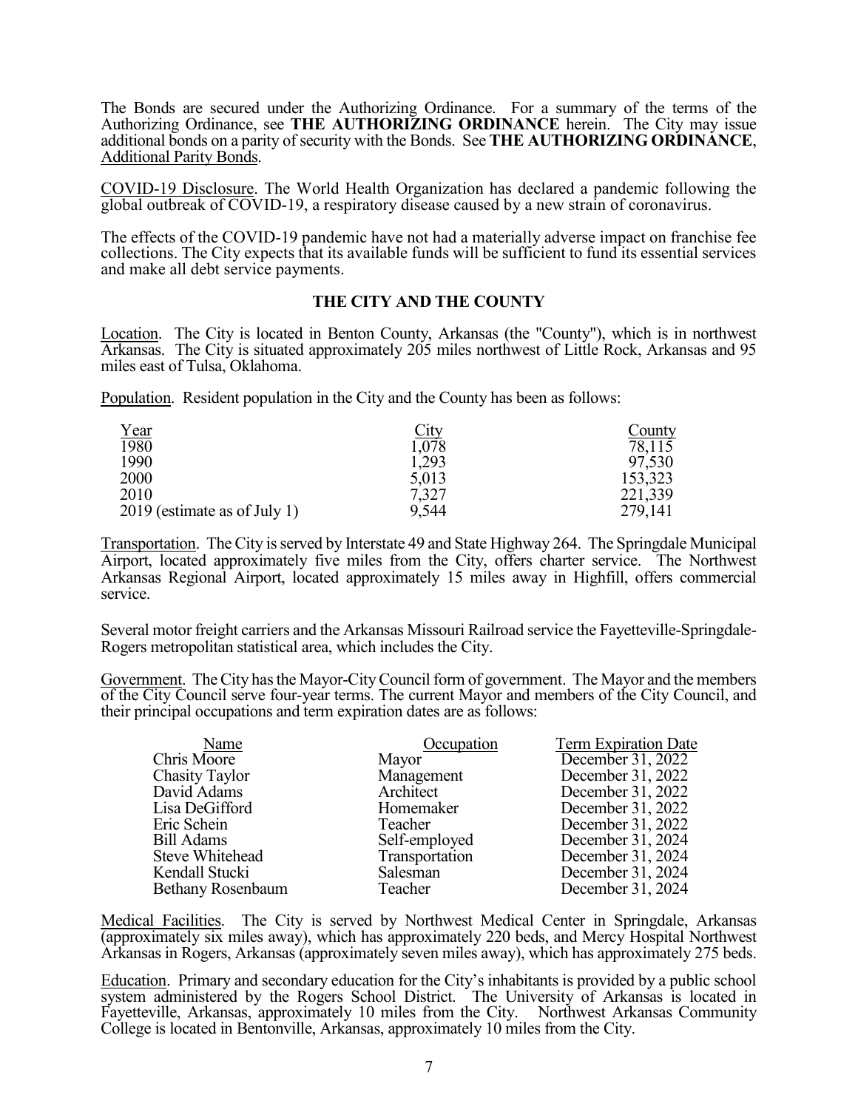The Bonds are secured under the Authorizing Ordinance. For a summary of the terms of the Authorizing Ordinance, see **THE AUTHORIZING ORDINANCE** herein. The City may issue additional bonds on a parity of security with the Bonds. See **THE AUTHORIZING ORDINANCE**, Additional Parity Bonds.

COVID-19 Disclosure. The World Health Organization has declared a pandemic following the global outbreak of COVID-19, a respiratory disease caused by a new strain of coronavirus.

The effects of the COVID-19 pandemic have not had a materially adverse impact on franchise fee collections. The City expects that its available funds will be sufficient to fund its essential services and make all debt service payments.

## **THE CITY AND THE COUNTY**

Location. The City is located in Benton County, Arkansas (the "County"), which is in northwest Arkansas. The City is situated approximately 205 miles northwest of Little Rock, Arkansas and 95 miles east of Tulsa, Oklahoma.

Population. Resident population in the City and the County has been as follows:

|                                |                      | County              |
|--------------------------------|----------------------|---------------------|
| <u>Year</u><br>1980            | $\frac{City}{1,078}$ | $78,1\overline{1}5$ |
| 1990                           | 1,293                | 97,530              |
| 2000                           | 5,013                | 153,323             |
| 2010                           | 7,327                | 221,339             |
| $2019$ (estimate as of July 1) | 9,544                | 279,141             |

Transportation. The City is served by Interstate 49 and State Highway 264. The Springdale Municipal Airport, located approximately five miles from the City, offers charter service. The Northwest Arkansas Regional Airport, located approximately 15 miles away in Highfill, offers commercial service.

Several motor freight carriers and the Arkansas Missouri Railroad service the Fayetteville-Springdale-Rogers metropolitan statistical area, which includes the City.

Government. The City has the Mayor-City Council form of government. The Mayor and the members of the City Council serve four-year terms. The current Mayor and members of the City Council, and their principal occupations and term expiration dates are as follows:

| Name                     | Occupation     | <b>Term Expiration Date</b> |
|--------------------------|----------------|-----------------------------|
| Chris Moore              | Mayor          | December 31, 2022           |
| <b>Chasity Taylor</b>    | Management     | December 31, 2022           |
| David Adams              | Architect      | December 31, 2022           |
| Lisa DeGifford           | Homemaker      | December 31, 2022           |
| Eric Schein              | Teacher        | December 31, 2022           |
| <b>Bill Adams</b>        | Self-employed  | December 31, 2024           |
| <b>Steve Whitehead</b>   | Transportation | December 31, 2024           |
| Kendall Stucki           | Salesman       | December 31, 2024           |
| <b>Bethany Rosenbaum</b> | Teacher        | December 31, 2024           |

Medical Facilities. The City is served by Northwest Medical Center in Springdale, Arkansas (approximately six miles away), which has approximately 220 beds, and Mercy Hospital Northwest Arkansas in Rogers, Arkansas (approximately seven miles away), which has approximately 275 beds.

Education. Primary and secondary education for the City's inhabitants is provided by a public school system administered by the Rogers School District. The University of Arkansas is located in Fayetteville, Arkansas, approximately 10 miles from the City. Northwest Arkansas Community College is located in Bentonville, Arkansas, approximately 10 miles from the City.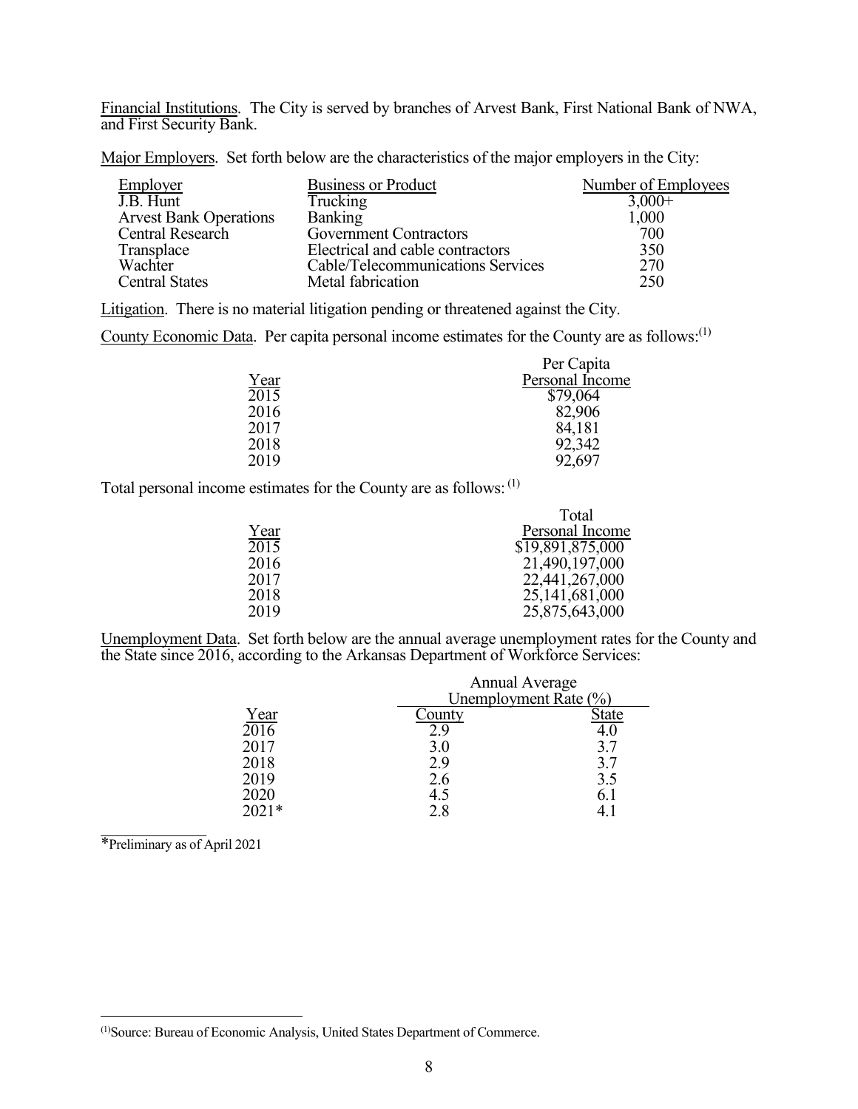Financial Institutions. The City is served by branches of Arvest Bank, First National Bank of NWA, and First Security Bank.

Major Employers. Set forth below are the characteristics of the major employers in the City:

| Employer                      | <b>Business or Product</b>        | Number of Employees |
|-------------------------------|-----------------------------------|---------------------|
| J.B. Hunt                     | Trucking                          | $3,000+$            |
| <b>Arvest Bank Operations</b> | Banking                           | 1,000               |
| Central Research              | <b>Government Contractors</b>     | 700                 |
| Transplace                    | Electrical and cable contractors  | 350                 |
| Wachter                       | Cable/Telecommunications Services | 270                 |
| Central States                | Metal fabrication                 | 250                 |

Litigation. There is no material litigation pending or threatened against the City.

County Economic Data. Per capita personal income estimates for the County are as follows:<sup>(1)</sup>

|      | Per Capita      |
|------|-----------------|
| Year | Personal Income |
| 2015 | \$79,064        |
| 2016 | 82,906          |
| 2017 | 84,181          |
| 2018 | 92,342          |
| 2019 | 92,697          |

Total personal income estimates for the County are as follows: (1)

|      | Total             |
|------|-------------------|
| Year | Personal Income   |
| 2015 | \$19,891,875,000  |
| 2016 | 21,490,197,000    |
| 2017 | 22,441,267,000    |
| 2018 | 25, 141, 681, 000 |
| 2019 | 25,875,643,000    |
|      |                   |

Unemployment Data. Set forth below are the annual average unemployment rates for the County and the State since 2016, according to the Arkansas Department of Workforce Services:

|             |                  | <b>Annual Average</b> |  |
|-------------|------------------|-----------------------|--|
|             |                  | Unemployment Rate (%) |  |
| <u>Year</u> | <u>County</u>    | <b>State</b>          |  |
| 2016        | $\overline{2.9}$ | 4.0                   |  |
| 2017        | 3.0              | 3.7                   |  |
| 2018        | 2.9              | 3.7                   |  |
| 2019        | 2.6              | 3.5                   |  |
| 2020        | 4.5              | 6.1                   |  |
| $2021*$     | 2.8              | 4.1                   |  |
|             |                  |                       |  |

\*Preliminary as of April 2021

 $\overline{a}$ 

<sup>(1)</sup>Source: Bureau of Economic Analysis, United States Department of Commerce.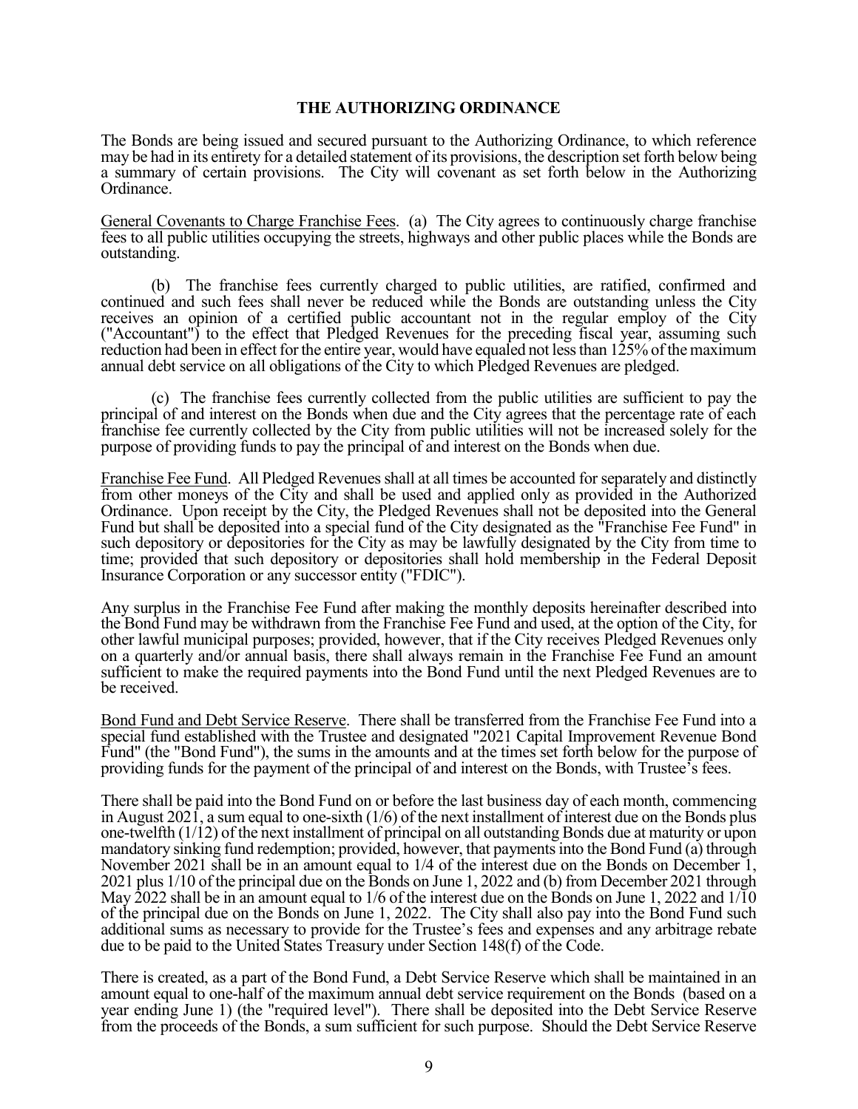## **THE AUTHORIZING ORDINANCE**

The Bonds are being issued and secured pursuant to the Authorizing Ordinance, to which reference may be had in its entirety for a detailed statement of its provisions, the description set forth below being a summary of certain provisions. The City will covenant as set forth below in the Authorizing Ordinance.

General Covenants to Charge Franchise Fees. (a) The City agrees to continuously charge franchise fees to all public utilities occupying the streets, highways and other public places while the Bonds are outstanding.

 (b) The franchise fees currently charged to public utilities, are ratified, confirmed and continued and such fees shall never be reduced while the Bonds are outstanding unless the City receives an opinion of a certified public accountant not in the regular employ of the City ("Accountant") to the effect that Pledged Revenues for the preceding fiscal year, assuming such reduction had been in effect for the entire year, would have equaled not less than 125% of the maximum annual debt service on all obligations of the City to which Pledged Revenues are pledged.

 (c) The franchise fees currently collected from the public utilities are sufficient to pay the principal of and interest on the Bonds when due and the City agrees that the percentage rate of each franchise fee currently collected by the City from public utilities will not be increased solely for the purpose of providing funds to pay the principal of and interest on the Bonds when due.

Franchise Fee Fund. All Pledged Revenues shall at all times be accounted for separately and distinctly from other moneys of the City and shall be used and applied only as provided in the Authorized Ordinance. Upon receipt by the City, the Pledged Revenues shall not be deposited into the General Fund but shall be deposited into a special fund of the City designated as the "Franchise Fee Fund" in such depository or depositories for the City as may be lawfully designated by the City from time to time; provided that such depository or depositories shall hold membership in the Federal Deposit Insurance Corporation or any successor entity ("FDIC").

Any surplus in the Franchise Fee Fund after making the monthly deposits hereinafter described into the Bond Fund may be withdrawn from the Franchise Fee Fund and used, at the option of the City, for other lawful municipal purposes; provided, however, that if the City receives Pledged Revenues only on a quarterly and/or annual basis, there shall always remain in the Franchise Fee Fund an amount sufficient to make the required payments into the Bond Fund until the next Pledged Revenues are to be received.

Bond Fund and Debt Service Reserve. There shall be transferred from the Franchise Fee Fund into a special fund established with the Trustee and designated "2021 Capital Improvement Revenue Bond Fund" (the "Bond Fund"), the sums in the amounts and at the times set forth below for the purpose of providing funds for the payment of the principal of and interest on the Bonds, with Trustee's fees.

There shall be paid into the Bond Fund on or before the last business day of each month, commencing in August 2021, a sum equal to one-sixth  $(1/6)$  of the next installment of interest due on the Bonds plus one-twelfth (1/12) of the next installment of principal on all outstanding Bonds due at maturity or upon mandatory sinking fund redemption; provided, however, that payments into the Bond Fund (a) through November 2021 shall be in an amount equal to 1/4 of the interest due on the Bonds on December 1, 2021 plus 1/10 of the principal due on the Bonds on June 1, 2022 and (b) from December 2021 through May 2022 shall be in an amount equal to  $1/6$  of the interest due on the Bonds on June 1, 2022 and  $1/\overline{10}$ of the principal due on the Bonds on June 1, 2022. The City shall also pay into the Bond Fund such additional sums as necessary to provide for the Trustee's fees and expenses and any arbitrage rebate due to be paid to the United States Treasury under Section 148(f) of the Code.

There is created, as a part of the Bond Fund, a Debt Service Reserve which shall be maintained in an amount equal to one-half of the maximum annual debt service requirement on the Bonds (based on a year ending June 1) (the "required level"). There shall be deposited into the Debt Service Reserve from the proceeds of the Bonds, a sum sufficient for such purpose. Should the Debt Service Reserve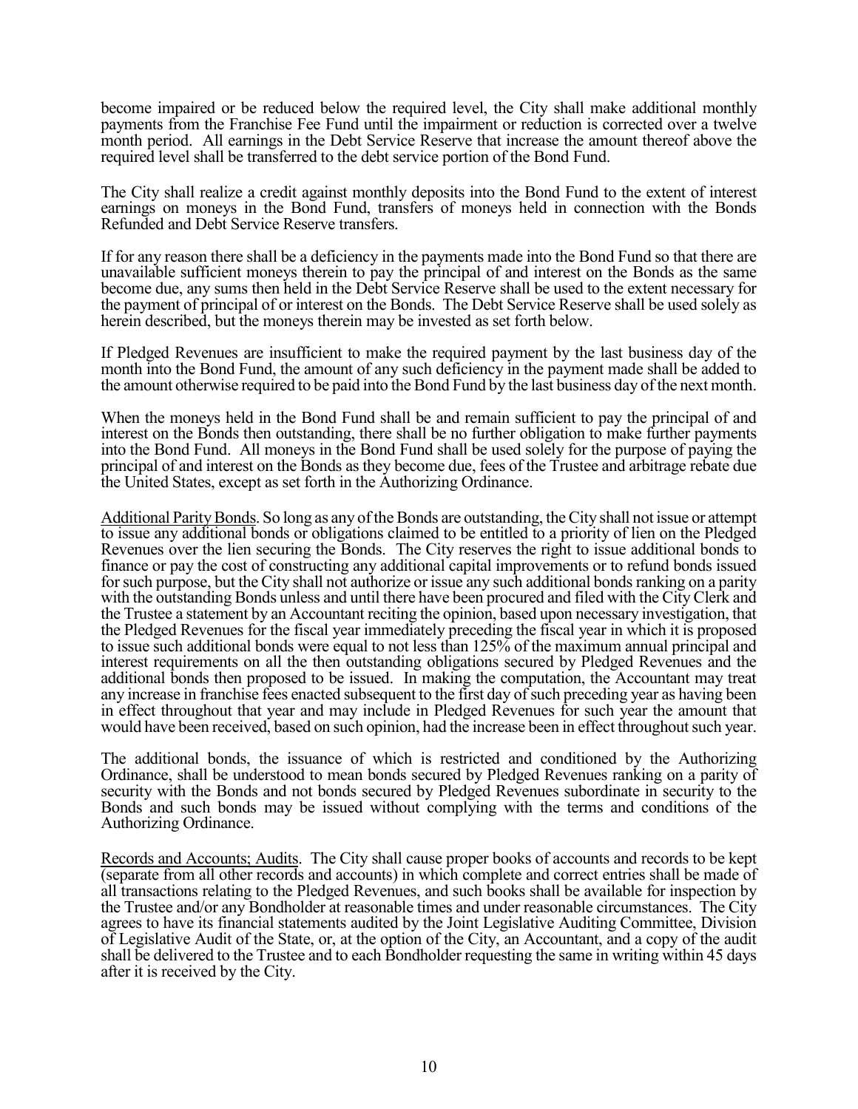become impaired or be reduced below the required level, the City shall make additional monthly payments from the Franchise Fee Fund until the impairment or reduction is corrected over a twelve month period. All earnings in the Debt Service Reserve that increase the amount thereof above the required level shall be transferred to the debt service portion of the Bond Fund.

The City shall realize a credit against monthly deposits into the Bond Fund to the extent of interest earnings on moneys in the Bond Fund, transfers of moneys held in connection with the Bonds Refunded and Debt Service Reserve transfers.

If for any reason there shall be a deficiency in the payments made into the Bond Fund so that there are unavailable sufficient moneys therein to pay the principal of and interest on the Bonds as the same become due, any sums then held in the Debt Service Reserve shall be used to the extent necessary for the payment of principal of or interest on the Bonds. The Debt Service Reserve shall be used solely as herein described, but the moneys therein may be invested as set forth below.

If Pledged Revenues are insufficient to make the required payment by the last business day of the month into the Bond Fund, the amount of any such deficiency in the payment made shall be added to the amount otherwise required to be paid into the Bond Fund by the last business day of the next month.

When the moneys held in the Bond Fund shall be and remain sufficient to pay the principal of and interest on the Bonds then outstanding, there shall be no further obligation to make further payments into the Bond Fund. All moneys in the Bond Fund shall be used solely for the purpose of paying the principal of and interest on the Bonds as they become due, fees of the Trustee and arbitrage rebate due the United States, except as set forth in the Authorizing Ordinance.

Additional Parity Bonds. So long as any of the Bonds are outstanding, the City shall not issue or attempt to issue any additional bonds or obligations claimed to be entitled to a priority of lien on the Pledged Revenues over the lien securing the Bonds. The City reserves the right to issue additional bonds to finance or pay the cost of constructing any additional capital improvements or to refund bonds issued for such purpose, but the City shall not authorize or issue any such additional bonds ranking on a parity with the outstanding Bonds unless and until there have been procured and filed with the City Clerk and the Trustee a statement by an Accountant reciting the opinion, based upon necessary investigation, that the Pledged Revenues for the fiscal year immediately preceding the fiscal year in which it is proposed to issue such additional bonds were equal to not less than 125% of the maximum annual principal and interest requirements on all the then outstanding obligations secured by Pledged Revenues and the additional bonds then proposed to be issued. In making the computation, the Accountant may treat any increase in franchise fees enacted subsequent to the first day of such preceding year as having been in effect throughout that year and may include in Pledged Revenues for such year the amount that would have been received, based on such opinion, had the increase been in effect throughout such year.

The additional bonds, the issuance of which is restricted and conditioned by the Authorizing Ordinance, shall be understood to mean bonds secured by Pledged Revenues ranking on a parity of security with the Bonds and not bonds secured by Pledged Revenues subordinate in security to the Bonds and such bonds may be issued without complying with the terms and conditions of the Authorizing Ordinance.

Records and Accounts; Audits. The City shall cause proper books of accounts and records to be kept (separate from all other records and accounts) in which complete and correct entries shall be made of all transactions relating to the Pledged Revenues, and such books shall be available for inspection by the Trustee and/or any Bondholder at reasonable times and under reasonable circumstances. The City agrees to have its financial statements audited by the Joint Legislative Auditing Committee, Division of Legislative Audit of the State, or, at the option of the City, an Accountant, and a copy of the audit shall be delivered to the Trustee and to each Bondholder requesting the same in writing within 45 days after it is received by the City.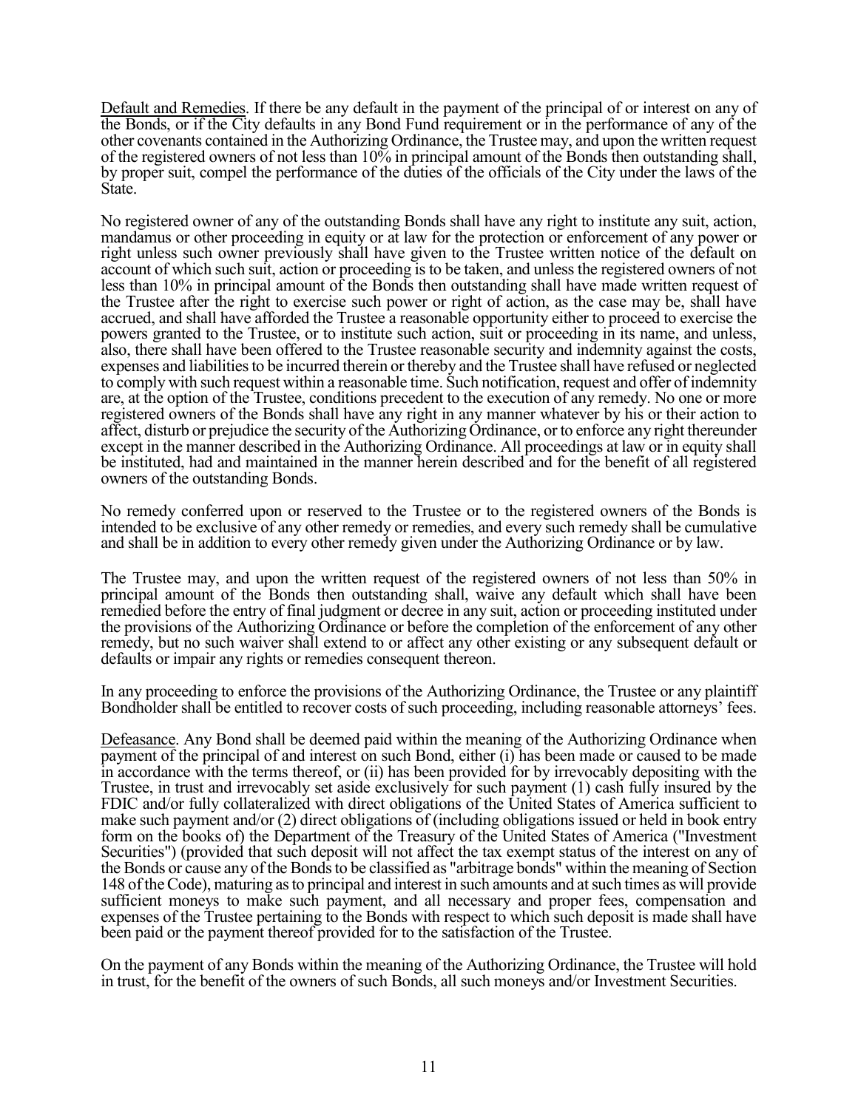Default and Remedies. If there be any default in the payment of the principal of or interest on any of the Bonds, or if the City defaults in any Bond Fund requirement or in the performance of any of the other covenants contained in the Authorizing Ordinance, the Trustee may, and upon the written request of the registered owners of not less than 10% in principal amount of the Bonds then outstanding shall, by proper suit, compel the performance of the duties of the officials of the City under the laws of the State.

No registered owner of any of the outstanding Bonds shall have any right to institute any suit, action, mandamus or other proceeding in equity or at law for the protection or enforcement of any power or right unless such owner previously shall have given to the Trustee written notice of the default on account of which such suit, action or proceeding is to be taken, and unless the registered owners of not less than 10% in principal amount of the Bonds then outstanding shall have made written request of the Trustee after the right to exercise such power or right of action, as the case may be, shall have accrued, and shall have afforded the Trustee a reasonable opportunity either to proceed to exercise the powers granted to the Trustee, or to institute such action, suit or proceeding in its name, and unless, also, there shall have been offered to the Trustee reasonable security and indemnity against the costs, expenses and liabilities to be incurred therein or thereby and the Trustee shall have refused or neglected to comply with such request within a reasonable time. Such notification, request and offer of indemnity are, at the option of the Trustee, conditions precedent to the execution of any remedy. No one or more registered owners of the Bonds shall have any right in any manner whatever by his or their action to affect, disturb or prejudice the security of the Authorizing Ordinance, or to enforce any right thereunder except in the manner described in the Authorizing Ordinance. All proceedings at law or in equity shall be instituted, had and maintained in the manner herein described and for the benefit of all registered owners of the outstanding Bonds.

No remedy conferred upon or reserved to the Trustee or to the registered owners of the Bonds is intended to be exclusive of any other remedy or remedies, and every such remedy shall be cumulative and shall be in addition to every other remedy given under the Authorizing Ordinance or by law.

The Trustee may, and upon the written request of the registered owners of not less than 50% in principal amount of the Bonds then outstanding shall, waive any default which shall have been remedied before the entry of final judgment or decree in any suit, action or proceeding instituted under the provisions of the Authorizing Ordinance or before the completion of the enforcement of any other remedy, but no such waiver shall extend to or affect any other existing or any subsequent default or defaults or impair any rights or remedies consequent thereon.

In any proceeding to enforce the provisions of the Authorizing Ordinance, the Trustee or any plaintiff Bondholder shall be entitled to recover costs of such proceeding, including reasonable attorneys' fees.

Defeasance. Any Bond shall be deemed paid within the meaning of the Authorizing Ordinance when payment of the principal of and interest on such Bond, either (i) has been made or caused to be made in accordance with the terms thereof, or (ii) has been provided for by irrevocably depositing with the Trustee, in trust and irrevocably set aside exclusively for such payment (1) cash fully insured by the FDIC and/or fully collateralized with direct obligations of the United States of America sufficient to make such payment and/or (2) direct obligations of (including obligations issued or held in book entry form on the books of) the Department of the Treasury of the United States of America ("Investment Securities") (provided that such deposit will not affect the tax exempt status of the interest on any of the Bonds or cause any of the Bonds to be classified as "arbitrage bonds" within the meaning of Section 148 of the Code), maturing as to principal and interest in such amounts and at such times as will provide sufficient moneys to make such payment, and all necessary and proper fees, compensation and expenses of the Trustee pertaining to the Bonds with respect to which such deposit is made shall have been paid or the payment thereof provided for to the satisfaction of the Trustee.

On the payment of any Bonds within the meaning of the Authorizing Ordinance, the Trustee will hold in trust, for the benefit of the owners of such Bonds, all such moneys and/or Investment Securities.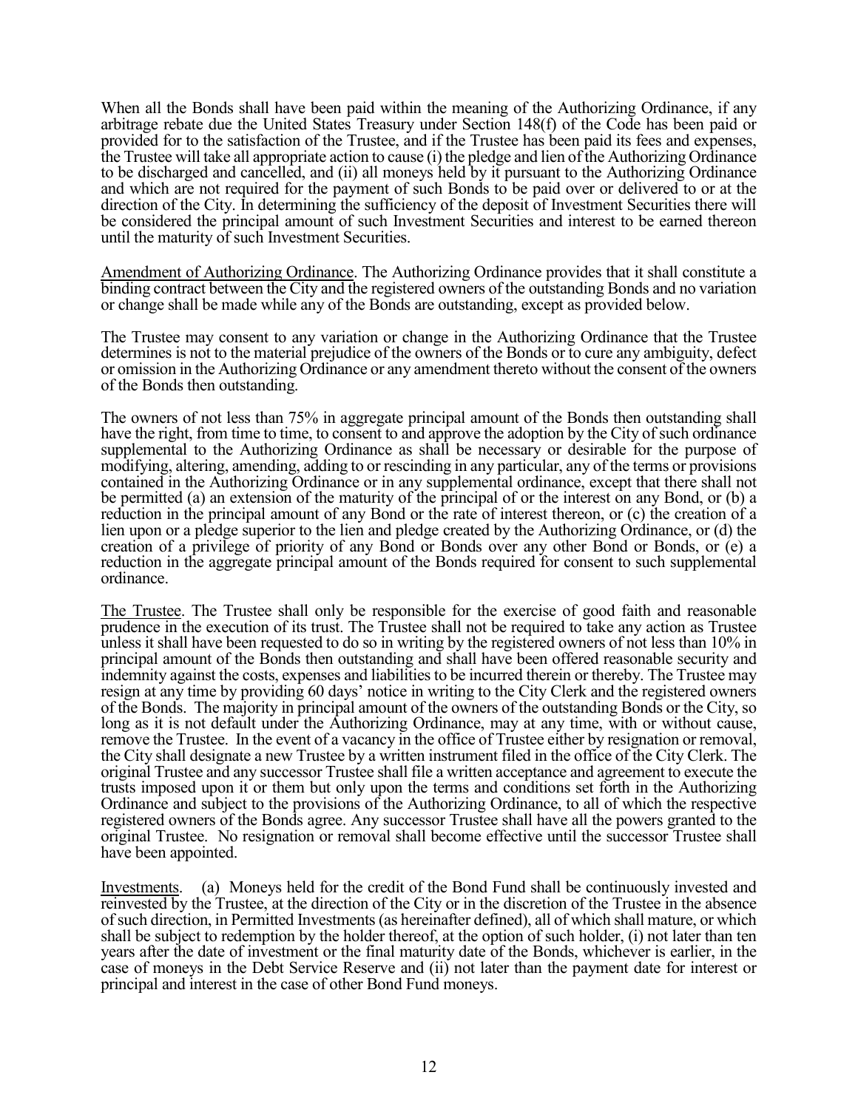When all the Bonds shall have been paid within the meaning of the Authorizing Ordinance, if any arbitrage rebate due the United States Treasury under Section 148(f) of the Code has been paid or provided for to the satisfaction of the Trustee, and if the Trustee has been paid its fees and expenses, the Trustee will take all appropriate action to cause (i) the pledge and lien of the Authorizing Ordinance to be discharged and cancelled, and (ii) all moneys held by it pursuant to the Authorizing Ordinance and which are not required for the payment of such Bonds to be paid over or delivered to or at the direction of the City. In determining the sufficiency of the deposit of Investment Securities there will be considered the principal amount of such Investment Securities and interest to be earned thereon until the maturity of such Investment Securities.

Amendment of Authorizing Ordinance. The Authorizing Ordinance provides that it shall constitute a binding contract between the City and the registered owners of the outstanding Bonds and no variation or change shall be made while any of the Bonds are outstanding, except as provided below.

The Trustee may consent to any variation or change in the Authorizing Ordinance that the Trustee determines is not to the material prejudice of the owners of the Bonds or to cure any ambiguity, defect or omission in the Authorizing Ordinance or any amendment thereto without the consent of the owners of the Bonds then outstanding.

The owners of not less than 75% in aggregate principal amount of the Bonds then outstanding shall have the right, from time to time, to consent to and approve the adoption by the City of such ordinance supplemental to the Authorizing Ordinance as shall be necessary or desirable for the purpose of modifying, altering, amending, adding to or rescinding in any particular, any of the terms or provisions contained in the Authorizing Ordinance or in any supplemental ordinance, except that there shall not be permitted (a) an extension of the maturity of the principal of or the interest on any Bond, or (b) a reduction in the principal amount of any Bond or the rate of interest thereon, or (c) the creation of a lien upon or a pledge superior to the lien and pledge created by the Authorizing Ordinance, or (d) the creation of a privilege of priority of any Bond or Bonds over any other Bond or Bonds, or (e) a reduction in the aggregate principal amount of the Bonds required for consent to such supplemental ordinance.

The Trustee. The Trustee shall only be responsible for the exercise of good faith and reasonable prudence in the execution of its trust. The Trustee shall not be required to take any action as Trustee unless it shall have been requested to do so in writing by the registered owners of not less than 10% in principal amount of the Bonds then outstanding and shall have been offered reasonable security and indemnity against the costs, expenses and liabilities to be incurred therein or thereby. The Trustee may resign at any time by providing 60 days' notice in writing to the City Clerk and the registered owners of the Bonds. The majority in principal amount of the owners of the outstanding Bonds or the City, so long as it is not default under the Authorizing Ordinance, may at any time, with or without cause, remove the Trustee. In the event of a vacancy in the office of Trustee either by resignation or removal, the City shall designate a new Trustee by a written instrument filed in the office of the City Clerk. The original Trustee and any successor Trustee shall file a written acceptance and agreement to execute the trusts imposed upon it or them but only upon the terms and conditions set forth in the Authorizing Ordinance and subject to the provisions of the Authorizing Ordinance, to all of which the respective registered owners of the Bonds agree. Any successor Trustee shall have all the powers granted to the original Trustee. No resignation or removal shall become effective until the successor Trustee shall have been appointed.

Investments. (a) Moneys held for the credit of the Bond Fund shall be continuously invested and reinvested by the Trustee, at the direction of the City or in the discretion of the Trustee in the absence of such direction, in Permitted Investments (as hereinafter defined), all of which shall mature, or which shall be subject to redemption by the holder thereof, at the option of such holder, (i) not later than ten years after the date of investment or the final maturity date of the Bonds, whichever is earlier, in the case of moneys in the Debt Service Reserve and (ii) not later than the payment date for interest or principal and interest in the case of other Bond Fund moneys.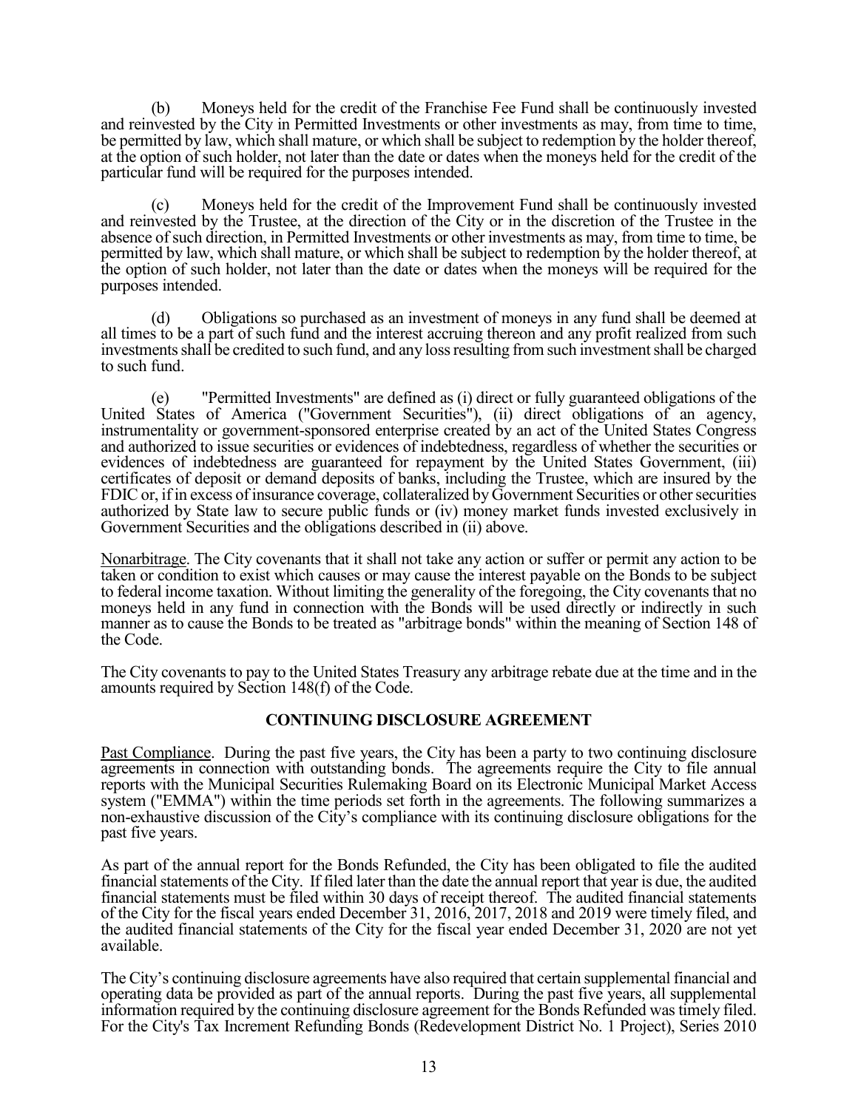(b) Moneys held for the credit of the Franchise Fee Fund shall be continuously invested and reinvested by the City in Permitted Investments or other investments as may, from time to time, be permitted by law, which shall mature, or which shall be subject to redemption by the holder thereof, at the option of such holder, not later than the date or dates when the moneys held for the credit of the particular fund will be required for the purposes intended.

 (c) Moneys held for the credit of the Improvement Fund shall be continuously invested and reinvested by the Trustee, at the direction of the City or in the discretion of the Trustee in the absence of such direction, in Permitted Investments or other investments as may, from time to time, be permitted by law, which shall mature, or which shall be subject to redemption by the holder thereof, at the option of such holder, not later than the date or dates when the moneys will be required for the purposes intended.

(d) Obligations so purchased as an investment of moneys in any fund shall be deemed at all times to be a part of such fund and the interest accruing thereon and any profit realized from such investments shall be credited to such fund, and any loss resulting from such investment shall be charged to such fund.

(e) "Permitted Investments" are defined as (i) direct or fully guaranteed obligations of the United States of America ("Government Securities"), (ii) direct obligations of an agency, instrumentality or government-sponsored enterprise created by an act of the United States Congress and authorized to issue securities or evidences of indebtedness, regardless of whether the securities or evidences of indebtedness are guaranteed for repayment by the United States Government, (iii) certificates of deposit or demand deposits of banks, including the Trustee, which are insured by the FDIC or, if in excess of insurance coverage, collateralized by Government Securities or other securities authorized by State law to secure public funds or (iv) money market funds invested exclusively in Government Securities and the obligations described in (ii) above.

Nonarbitrage. The City covenants that it shall not take any action or suffer or permit any action to be taken or condition to exist which causes or may cause the interest payable on the Bonds to be subject to federal income taxation. Without limiting the generality of the foregoing, the City covenants that no moneys held in any fund in connection with the Bonds will be used directly or indirectly in such manner as to cause the Bonds to be treated as "arbitrage bonds" within the meaning of Section 148 of the Code.

The City covenants to pay to the United States Treasury any arbitrage rebate due at the time and in the amounts required by Section 148(f) of the Code.

## **CONTINUING DISCLOSURE AGREEMENT**

Past Compliance. During the past five years, the City has been a party to two continuing disclosure agreements in connection with outstanding bonds. The agreements require the City to file annual reports with the Municipal Securities Rulemaking Board on its Electronic Municipal Market Access system ("EMMA") within the time periods set forth in the agreements. The following summarizes a non-exhaustive discussion of the City's compliance with its continuing disclosure obligations for the past five years.

As part of the annual report for the Bonds Refunded, the City has been obligated to file the audited financial statements of the City. If filed later than the date the annual report that year is due, the audited financial statements must be filed within 30 days of receipt thereof. The audited financial statements of the City for the fiscal years ended December 31, 2016, 2017, 2018 and 2019 were timely filed, and the audited financial statements of the City for the fiscal year ended December 31, 2020 are not yet available.

The City's continuing disclosure agreements have also required that certain supplemental financial and operating data be provided as part of the annual reports. During the past five years, all supplemental information required by the continuing disclosure agreement for the Bonds Refunded was timely filed. For the City's Tax Increment Refunding Bonds (Redevelopment District No. 1 Project), Series 2010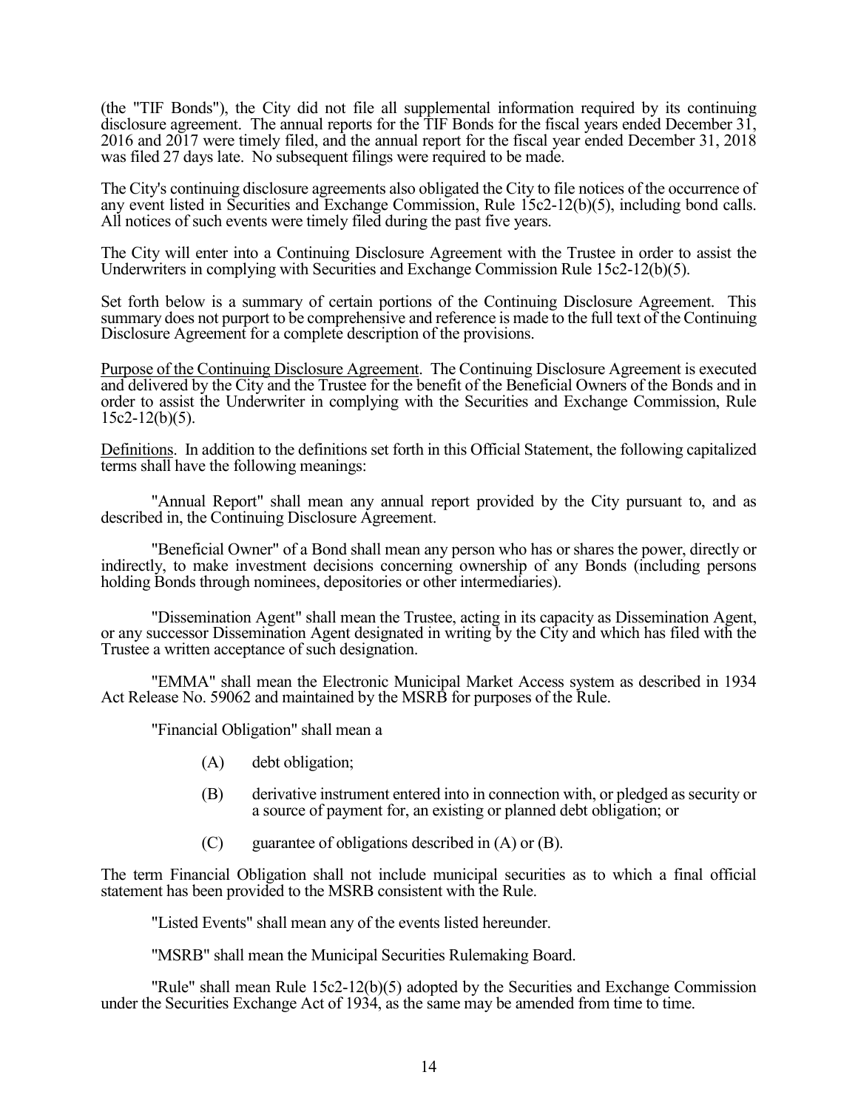(the "TIF Bonds"), the City did not file all supplemental information required by its continuing disclosure agreement. The annual reports for the TIF Bonds for the fiscal years ended December 31, 2016 and 2017 were timely filed, and the annual report for the fiscal year ended December 31, 2018 was filed 27 days late. No subsequent filings were required to be made.

The City's continuing disclosure agreements also obligated the City to file notices of the occurrence of any event listed in Securities and Exchange Commission, Rule 15c2-12(b)(5), including bond calls. All notices of such events were timely filed during the past five years.

The City will enter into a Continuing Disclosure Agreement with the Trustee in order to assist the Underwriters in complying with Securities and Exchange Commission Rule 15c2-12(b)(5).

Set forth below is a summary of certain portions of the Continuing Disclosure Agreement. This summary does not purport to be comprehensive and reference is made to the full text of the Continuing Disclosure Agreement for a complete description of the provisions.

Purpose of the Continuing Disclosure Agreement. The Continuing Disclosure Agreement is executed and delivered by the City and the Trustee for the benefit of the Beneficial Owners of the Bonds and in order to assist the Underwriter in complying with the Securities and Exchange Commission, Rule  $15c2-12(b)(5)$ .

Definitions. In addition to the definitions set forth in this Official Statement, the following capitalized terms shall have the following meanings:

 "Annual Report" shall mean any annual report provided by the City pursuant to, and as described in, the Continuing Disclosure Agreement.

 "Beneficial Owner" of a Bond shall mean any person who has or shares the power, directly or indirectly, to make investment decisions concerning ownership of any Bonds (including persons holding Bonds through nominees, depositories or other intermediaries).

 "Dissemination Agent" shall mean the Trustee, acting in its capacity as Dissemination Agent, or any successor Dissemination Agent designated in writing by the City and which has filed with the Trustee a written acceptance of such designation.

 "EMMA" shall mean the Electronic Municipal Market Access system as described in 1934 Act Release No. 59062 and maintained by the MSRB for purposes of the Rule.

"Financial Obligation" shall mean a

- (A) debt obligation;
- (B) derivative instrument entered into in connection with, or pledged as security or a source of payment for, an existing or planned debt obligation; or
- $(C)$  guarantee of obligations described in  $(A)$  or  $(B)$ .

The term Financial Obligation shall not include municipal securities as to which a final official statement has been provided to the MSRB consistent with the Rule.

"Listed Events" shall mean any of the events listed hereunder.

"MSRB" shall mean the Municipal Securities Rulemaking Board.

"Rule" shall mean Rule  $15c2-12(b)(5)$  adopted by the Securities and Exchange Commission under the Securities Exchange Act of 1934, as the same may be amended from time to time.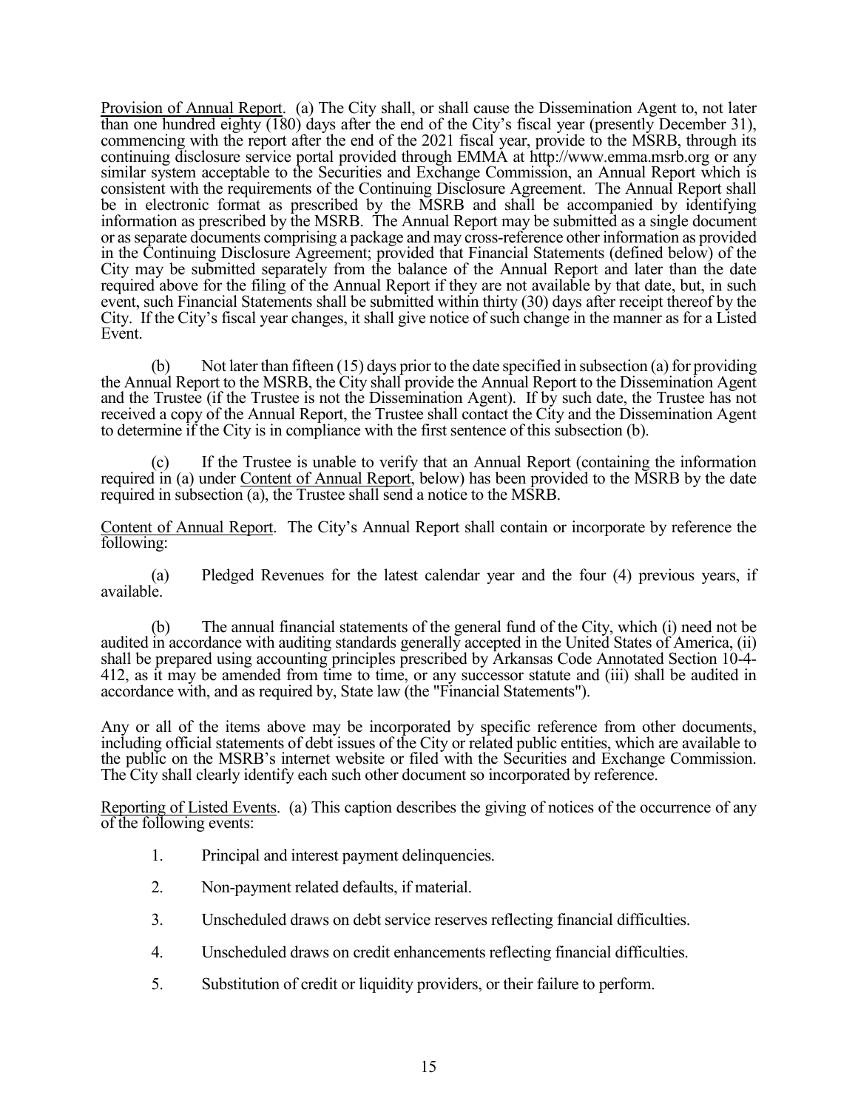Provision of Annual Report. (a) The City shall, or shall cause the Dissemination Agent to, not later than one hundred eighty (180) days after the end of the City's fiscal year (presently December 31), commencing with the report after the end of the 2021 fiscal year, provide to the MSRB, through its continuing disclosure service portal provided through EMMA at http://www.emma.msrb.org or any similar system acceptable to the Securities and Exchange Commission, an Annual Report which is consistent with the requirements of the Continuing Disclosure Agreement. The Annual Report shall be in electronic format as prescribed by the MSRB and shall be accompanied by identifying information as prescribed by the MSRB. The Annual Report may be submitted as a single document or as separate documents comprising a package and may cross-reference other information as provided in the Continuing Disclosure Agreement; provided that Financial Statements (defined below) of the City may be submitted separately from the balance of the Annual Report and later than the date required above for the filing of the Annual Report if they are not available by that date, but, in such event, such Financial Statements shall be submitted within thirty (30) days after receipt thereof by the City. If the City's fiscal year changes, it shall give notice of such change in the manner as for a Listed Event.

 (b) Not later than fifteen (15) days prior to the date specified in subsection (a) for providing the Annual Report to the MSRB, the City shall provide the Annual Report to the Dissemination Agent and the Trustee (if the Trustee is not the Dissemination Agent). If by such date, the Trustee has not received a copy of the Annual Report, the Trustee shall contact the City and the Dissemination Agent to determine if the City is in compliance with the first sentence of this subsection (b).

 (c) If the Trustee is unable to verify that an Annual Report (containing the information required in (a) under Content of Annual Report, below) has been provided to the MSRB by the date required in subsection  $\overline{(a)}$ , the Trustee shall send a notice to the MSRB.

Content of Annual Report. The City's Annual Report shall contain or incorporate by reference the following:

 (a) Pledged Revenues for the latest calendar year and the four (4) previous years, if available.

 (b) The annual financial statements of the general fund of the City, which (i) need not be audited in accordance with auditing standards generally accepted in the United States of America, (ii) shall be prepared using accounting principles prescribed by Arkansas Code Annotated Section 10-4- 412, as it may be amended from time to time, or any successor statute and (iii) shall be audited in accordance with, and as required by, State law (the "Financial Statements").

Any or all of the items above may be incorporated by specific reference from other documents, including official statements of debt issues of the City or related public entities, which are available to the public on the MSRB's internet website or filed with the Securities and Exchange Commission. The City shall clearly identify each such other document so incorporated by reference.

Reporting of Listed Events. (a) This caption describes the giving of notices of the occurrence of any of the following events:

- 1. Principal and interest payment delinquencies.
- 2. Non-payment related defaults, if material.
- 3. Unscheduled draws on debt service reserves reflecting financial difficulties.
- 4. Unscheduled draws on credit enhancements reflecting financial difficulties.
- 5. Substitution of credit or liquidity providers, or their failure to perform.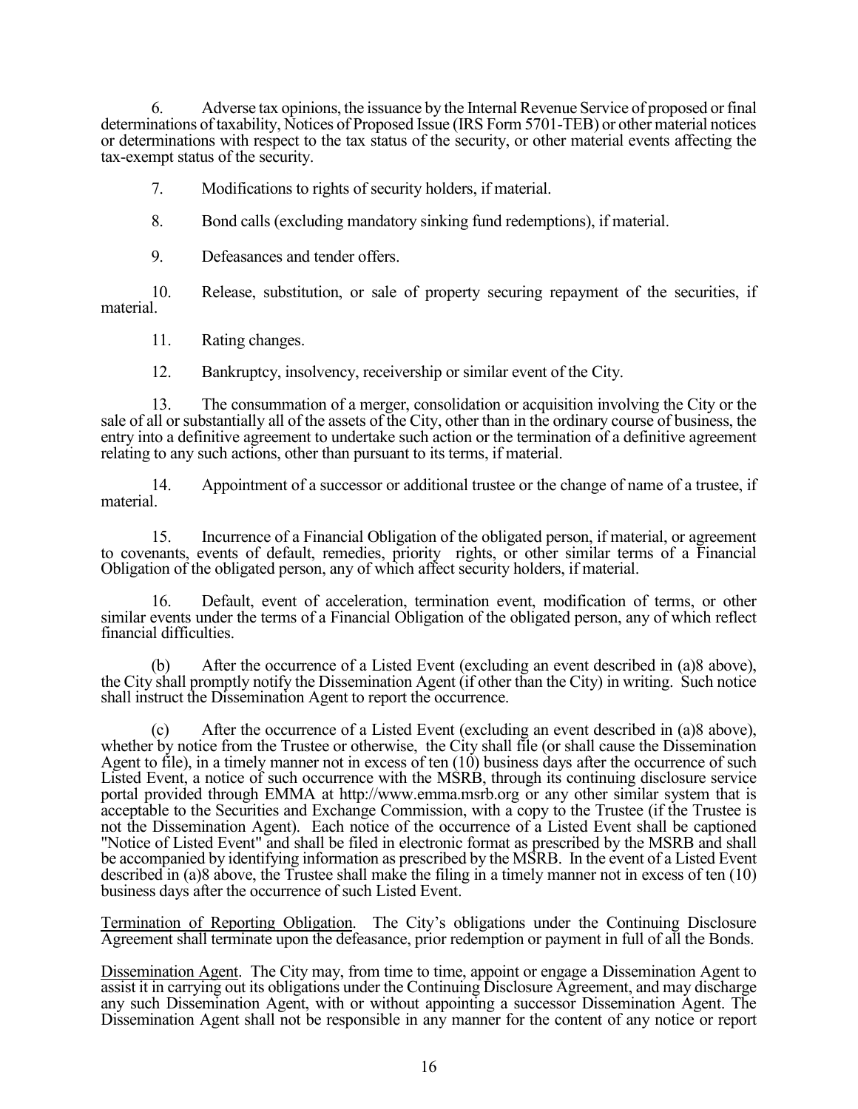6. Adverse tax opinions, the issuance by the Internal Revenue Service of proposed or final determinations of taxability, Notices of Proposed Issue (IRS Form 5701-TEB) or other material notices or determinations with respect to the tax status of the security, or other material events affecting the tax-exempt status of the security.

7. Modifications to rights of security holders, if material.

8. Bond calls (excluding mandatory sinking fund redemptions), if material.

9. Defeasances and tender offers.

 10. Release, substitution, or sale of property securing repayment of the securities, if material.

11. Rating changes.

12. Bankruptcy, insolvency, receivership or similar event of the City.

 13. The consummation of a merger, consolidation or acquisition involving the City or the sale of all or substantially all of the assets of the City, other than in the ordinary course of business, the entry into a definitive agreement to undertake such action or the termination of a definitive agreement relating to any such actions, other than pursuant to its terms, if material.

 14. Appointment of a successor or additional trustee or the change of name of a trustee, if material.

 15. Incurrence of a Financial Obligation of the obligated person, if material, or agreement to covenants, events of default, remedies, priority rights, or other similar terms of a Financial Obligation of the obligated person, any of which affect security holders, if material.

 16. Default, event of acceleration, termination event, modification of terms, or other similar events under the terms of a Financial Obligation of the obligated person, any of which reflect financial difficulties.

 (b) After the occurrence of a Listed Event (excluding an event described in (a)8 above), the City shall promptly notify the Dissemination Agent (if other than the City) in writing. Such notice shall instruct the Dissemination Agent to report the occurrence.

 (c) After the occurrence of a Listed Event (excluding an event described in (a)8 above), whether by notice from the Trustee or otherwise, the City shall file (or shall cause the Dissemination Agent to file), in a timely manner not in excess of ten (10) business days after the occurrence of such Listed Event, a notice of such occurrence with the MSRB, through its continuing disclosure service portal provided through EMMA at http://www.emma.msrb.org or any other similar system that is acceptable to the Securities and Exchange Commission, with a copy to the Trustee (if the Trustee is not the Dissemination Agent). Each notice of the occurrence of a Listed Event shall be captioned "Notice of Listed Event" and shall be filed in electronic format as prescribed by the MSRB and shall be accompanied by identifying information as prescribed by the MSRB. In the event of a Listed Event described in (a)8 above, the Trustee shall make the filing in a timely manner not in excess of ten (10) business days after the occurrence of such Listed Event.

Termination of Reporting Obligation. The City's obligations under the Continuing Disclosure Agreement shall terminate upon the defeasance, prior redemption or payment in full of all the Bonds.

Dissemination Agent. The City may, from time to time, appoint or engage a Dissemination Agent to assist it in carrying out its obligations under the Continuing Disclosure Agreement, and may discharge any such Dissemination Agent, with or without appointing a successor Dissemination Agent. The Dissemination Agent shall not be responsible in any manner for the content of any notice or report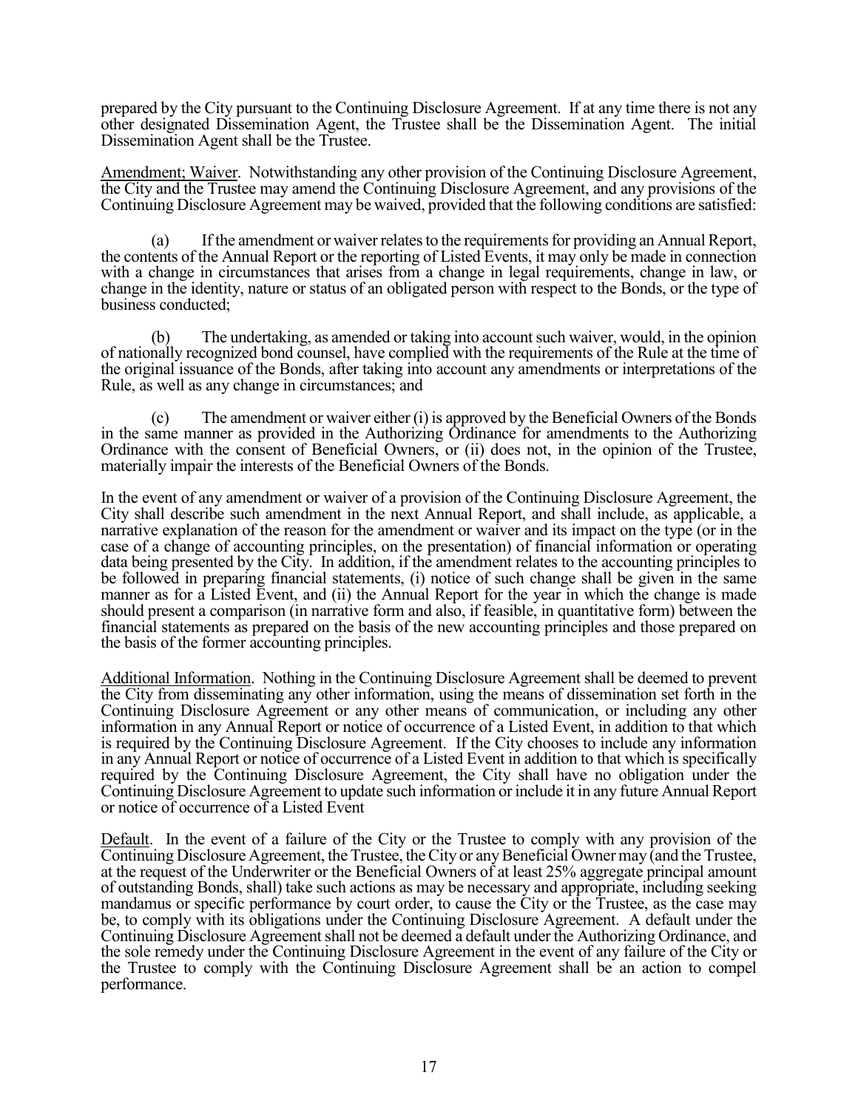prepared by the City pursuant to the Continuing Disclosure Agreement. If at any time there is not any other designated Dissemination Agent, the Trustee shall be the Dissemination Agent. The initial Dissemination Agent shall be the Trustee.

Amendment; Waiver. Notwithstanding any other provision of the Continuing Disclosure Agreement, the City and the Trustee may amend the Continuing Disclosure Agreement, and any provisions of the Continuing Disclosure Agreement may be waived, provided that the following conditions are satisfied:

 (a) If the amendment or waiver relates to the requirements for providing an Annual Report, the contents of the Annual Report or the reporting of Listed Events, it may only be made in connection with a change in circumstances that arises from a change in legal requirements, change in law, or change in the identity, nature or status of an obligated person with respect to the Bonds, or the type of business conducted;

 (b) The undertaking, as amended or taking into account such waiver, would, in the opinion of nationally recognized bond counsel, have complied with the requirements of the Rule at the time of the original issuance of the Bonds, after taking into account any amendments or interpretations of the Rule, as well as any change in circumstances; and

 (c) The amendment or waiver either (i) is approved by the Beneficial Owners of the Bonds in the same manner as provided in the Authorizing Ordinance for amendments to the Authorizing Ordinance with the consent of Beneficial Owners, or (ii) does not, in the opinion of the Trustee, materially impair the interests of the Beneficial Owners of the Bonds.

In the event of any amendment or waiver of a provision of the Continuing Disclosure Agreement, the City shall describe such amendment in the next Annual Report, and shall include, as applicable, a narrative explanation of the reason for the amendment or waiver and its impact on the type (or in the case of a change of accounting principles, on the presentation) of financial information or operating data being presented by the City. In addition, if the amendment relates to the accounting principles to be followed in preparing financial statements, (i) notice of such change shall be given in the same manner as for a Listed Event, and (ii) the Annual Report for the year in which the change is made should present a comparison (in narrative form and also, if feasible, in quantitative form) between the financial statements as prepared on the basis of the new accounting principles and those prepared on the basis of the former accounting principles.

Additional Information. Nothing in the Continuing Disclosure Agreement shall be deemed to prevent the City from disseminating any other information, using the means of dissemination set forth in the Continuing Disclosure Agreement or any other means of communication, or including any other information in any Annual Report or notice of occurrence of a Listed Event, in addition to that which is required by the Continuing Disclosure Agreement. If the City chooses to include any information in any Annual Report or notice of occurrence of a Listed Event in addition to that which is specifically required by the Continuing Disclosure Agreement, the City shall have no obligation under the Continuing Disclosure Agreement to update such information or include it in any future Annual Report or notice of occurrence of a Listed Event

Default. In the event of a failure of the City or the Trustee to comply with any provision of the Continuing Disclosure Agreement, the Trustee, the City or any Beneficial Owner may (and the Trustee, at the request of the Underwriter or the Beneficial Owners of at least 25% aggregate principal amount of outstanding Bonds, shall) take such actions as may be necessary and appropriate, including seeking mandamus or specific performance by court order, to cause the City or the Trustee, as the case may be, to comply with its obligations under the Continuing Disclosure Agreement. A default under the Continuing Disclosure Agreement shall not be deemed a default under the Authorizing Ordinance, and the sole remedy under the Continuing Disclosure Agreement in the event of any failure of the City or the Trustee to comply with the Continuing Disclosure Agreement shall be an action to compel performance.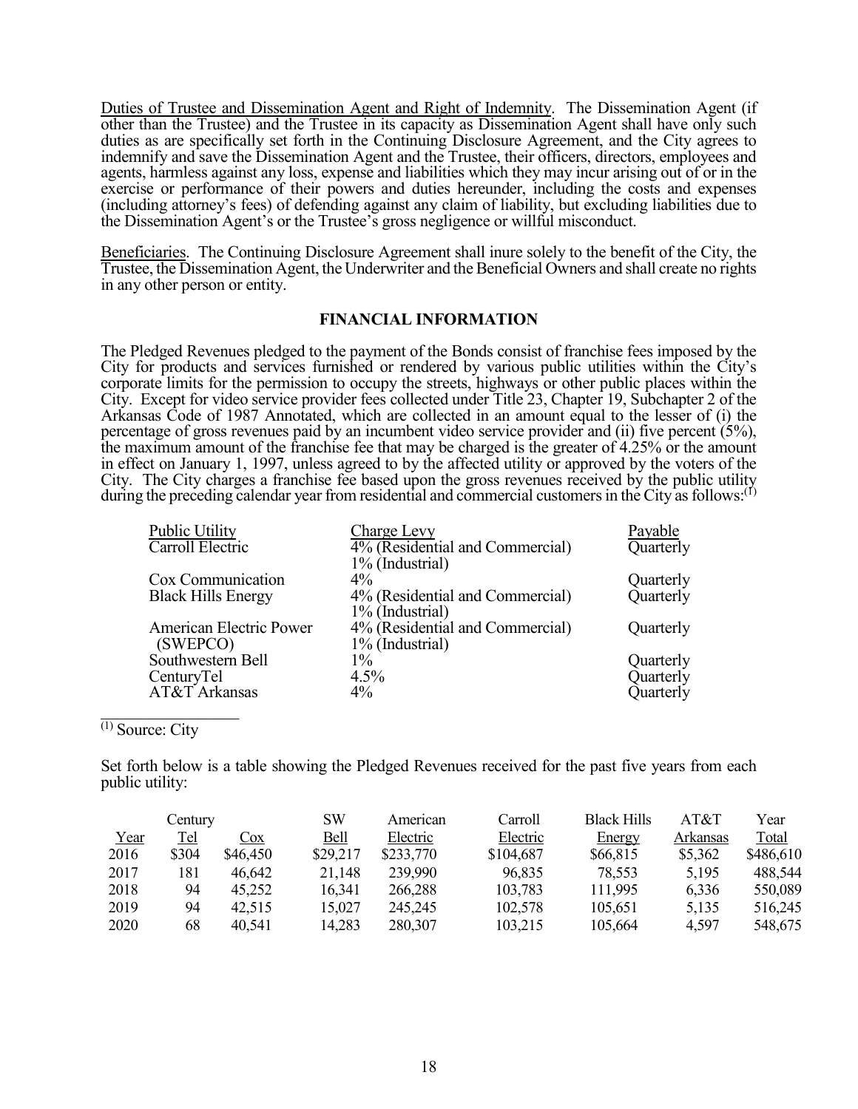Duties of Trustee and Dissemination Agent and Right of Indemnity. The Dissemination Agent (if other than the Trustee) and the Trustee in its capacity as Dissemination Agent shall have only such duties as are specifically set forth in the Continuing Disclosure Agreement, and the City agrees to indemnify and save the Dissemination Agent and the Trustee, their officers, directors, employees and agents, harmless against any loss, expense and liabilities which they may incur arising out of or in the exercise or performance of their powers and duties hereunder, including the costs and expenses (including attorney's fees) of defending against any claim of liability, but excluding liabilities due to the Dissemination Agent's or the Trustee's gross negligence or willful misconduct.

Beneficiaries. The Continuing Disclosure Agreement shall inure solely to the benefit of the City, the Trustee, the Dissemination Agent, the Underwriter and the Beneficial Owners and shall create no rights in any other person or entity.

## **FINANCIAL INFORMATION**

The Pledged Revenues pledged to the payment of the Bonds consist of franchise fees imposed by the City for products and services furnished or rendered by various public utilities within the City's corporate limits for the permission to occupy the streets, highways or other public places within the City. Except for video service provider fees collected under Title 23, Chapter 19, Subchapter 2 of the Arkansas Code of 1987 Annotated, which are collected in an amount equal to the lesser of (i) the percentage of gross revenues paid by an incumbent video service provider and (ii) five percent (5%), the maximum amount of the franchise fee that may be charged is the greater of 4.25% or the amount in effect on January 1, 1997, unless agreed to by the affected utility or approved by the voters of the City. The City charges a franchise fee based upon the gross revenues received by the public utility during the preceding calendar year from residential and commercial customers in the City as follows:<sup>(1)</sup>

| <b>Public Utility</b>     | Charge Levy                     | Payable   |
|---------------------------|---------------------------------|-----------|
| Carroll Electric          | 4% (Residential and Commercial) | Quarterly |
|                           | 1% (Industrial)                 |           |
| Cox Communication         | $4\%$                           | Quarterly |
| <b>Black Hills Energy</b> | 4% (Residential and Commercial) | Quarterly |
|                           | 1% (Industrial)                 |           |
| American Electric Power   | 4% (Residential and Commercial) | Quarterly |
| (SWEPCO)                  | 1% (Industrial)                 |           |
| Southwestern Bell         | $1\%$                           | Quarterly |
| CenturyTel                | $4.5\%$                         | Quarterly |
| AT&T Arkansas             | $4\%$                           | Quarterly |

(1) Source: City

Set forth below is a table showing the Pledged Revenues received for the past five years from each public utility:

|             | Century |          | SW       | American  | Carroll   | <b>Black Hills</b> | AT&T     | Year      |
|-------------|---------|----------|----------|-----------|-----------|--------------------|----------|-----------|
| <u>Year</u> | Tel     | Cox      | Bell     | Electric  | Electric  | Energy             | Arkansas | Total     |
| 2016        | \$304   | \$46,450 | \$29,217 | \$233,770 | \$104,687 | \$66,815           | \$5,362  | \$486,610 |
| 2017        | 181     | 46,642   | 21,148   | 239,990   | 96,835    | 78,553             | 5,195    | 488,544   |
| 2018        | 94      | 45,252   | 16,341   | 266,288   | 103,783   | 111,995            | 6,336    | 550,089   |
| 2019        | 94      | 42,515   | 15,027   | 245, 245  | 102,578   | 105,651            | 5,135    | 516,245   |
| 2020        | 68      | 40,541   | 14,283   | 280,307   | 103,215   | 105,664            | 4,597    | 548,675   |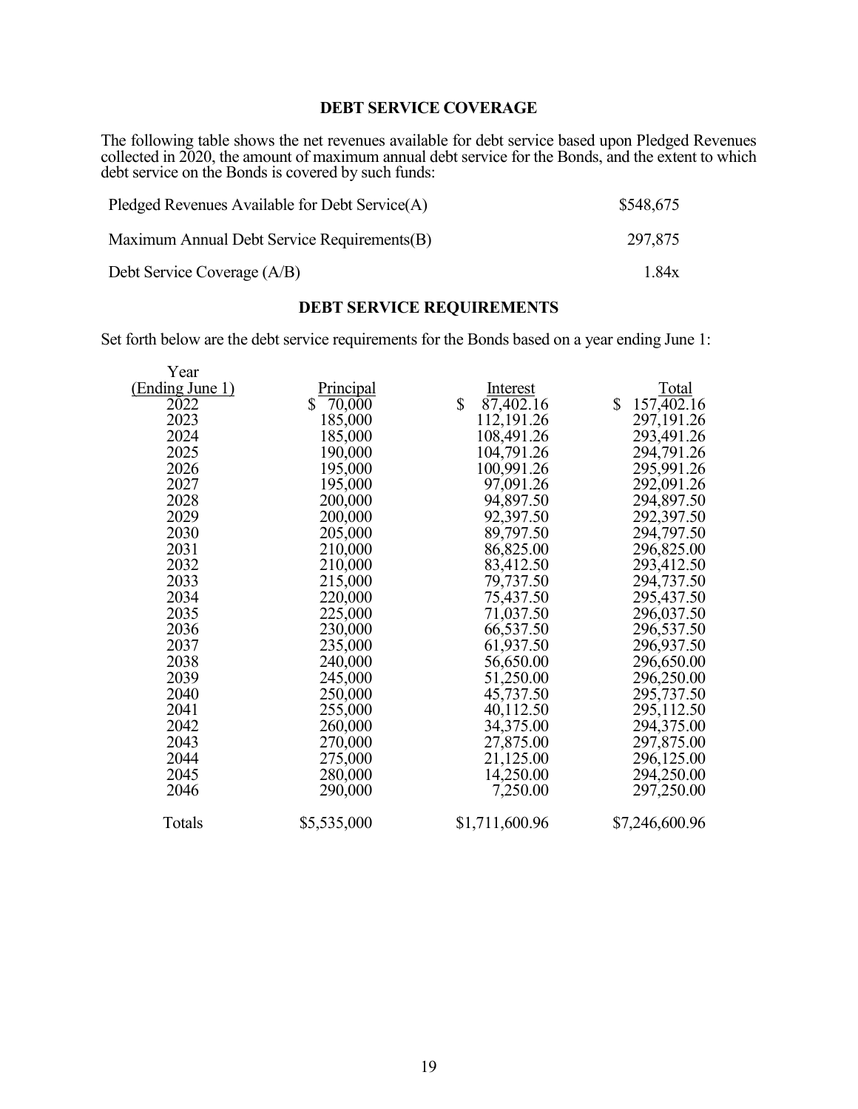## **DEBT SERVICE COVERAGE**

The following table shows the net revenues available for debt service based upon Pledged Revenues collected in 2020, the amount of maximum annual debt service for the Bonds, and the extent to which debt service on the Bonds is covered by such funds:

| Pledged Revenues Available for Debt Service(A) | \$548,675 |
|------------------------------------------------|-----------|
| Maximum Annual Debt Service Requirements(B)    | 297.875   |
| Debt Service Coverage (A/B)                    | 1.84x     |

# **DEBT SERVICE REQUIREMENTS**

Set forth below are the debt service requirements for the Bonds based on a year ending June 1:<br>Next

| r ear           |             |                 |                            |
|-----------------|-------------|-----------------|----------------------------|
| (Ending June 1) | Principal   | Interest        | Total                      |
| 2022            | \$ 70,000   | \$<br>87,402.16 | $\mathbb{S}$<br>157,402.16 |
| 2023            | 185,000     | 112,191.26      | 297,191.26                 |
| 2024            | 185,000     | 108,491.26      | 293,491.26                 |
| 2025            | 190,000     | 104,791.26      | 294,791.26                 |
| 2026            | 195,000     | 100,991.26      | 295,991.26                 |
| 2027            | 195,000     | 97,091.26       | 292,091.26                 |
| 2028            | 200,000     | 94,897.50       | 294,897.50                 |
| 2029            | 200,000     | 92,397.50       | 292,397.50                 |
| 2030            | 205,000     | 89,797.50       | 294,797.50                 |
| 2031            | 210,000     | 86,825.00       | 296,825.00                 |
| 2032            | 210,000     | 83,412.50       | 293,412.50                 |
| 2033            | 215,000     | 79,737.50       | 294,737.50                 |
| 2034            | 220,000     | 75,437.50       | 295,437.50                 |
| 2035            | 225,000     | 71,037.50       | 296,037.50                 |
| 2036            | 230,000     | 66,537.50       | 296,537.50                 |
| 2037            | 235,000     | 61,937.50       | 296,937.50                 |
| 2038            | 240,000     | 56,650.00       | 296,650.00                 |
| 2039            | 245,000     | 51,250.00       | 296,250.00                 |
| 2040            | 250,000     | 45,737.50       | 295,737.50                 |
| 2041            | 255,000     | 40,112.50       | 295,112.50                 |
| 2042            | 260,000     | 34,375.00       | 294,375.00                 |
| 2043            | 270,000     | 27,875.00       | 297,875.00                 |
| 2044            | 275,000     | 21,125.00       | 296,125.00                 |
| 2045            | 280,000     | 14,250.00       | 294,250.00                 |
| 2046            | 290,000     | 7,250.00        | 297,250.00                 |
| Totals          | \$5,535,000 | \$1,711,600.96  | \$7,246,600.96             |
|                 |             |                 |                            |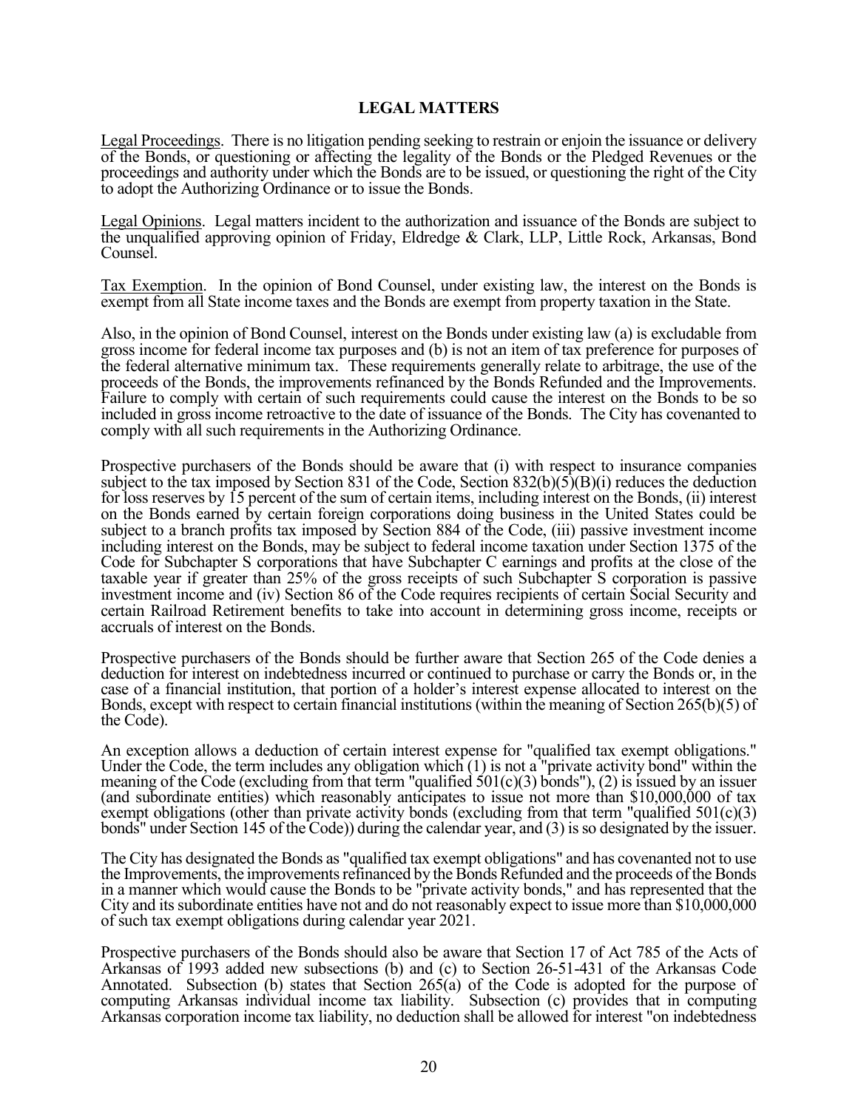## **LEGAL MATTERS**

Legal Proceedings. There is no litigation pending seeking to restrain or enjoin the issuance or delivery of the Bonds, or questioning or affecting the legality of the Bonds or the Pledged Revenues or the proceedings and authority under which the Bonds are to be issued, or questioning the right of the City to adopt the Authorizing Ordinance or to issue the Bonds.

Legal Opinions. Legal matters incident to the authorization and issuance of the Bonds are subject to the unqualified approving opinion of Friday, Eldredge & Clark, LLP, Little Rock, Arkansas, Bond Counsel.

Tax Exemption. In the opinion of Bond Counsel, under existing law, the interest on the Bonds is exempt from all State income taxes and the Bonds are exempt from property taxation in the State.

Also, in the opinion of Bond Counsel, interest on the Bonds under existing law (a) is excludable from gross income for federal income tax purposes and (b) is not an item of tax preference for purposes of the federal alternative minimum tax. These requirements generally relate to arbitrage, the use of the proceeds of the Bonds, the improvements refinanced by the Bonds Refunded and the Improvements. Failure to comply with certain of such requirements could cause the interest on the Bonds to be so included in gross income retroactive to the date of issuance of the Bonds. The City has covenanted to comply with all such requirements in the Authorizing Ordinance.

Prospective purchasers of the Bonds should be aware that (i) with respect to insurance companies subject to the tax imposed by Section 831 of the Code, Section 832(b)(5)(B)(i) reduces the deduction for loss reserves by 15 percent of the sum of certain items, including interest on the Bonds, (ii) interest on the Bonds earned by certain foreign corporations doing business in the United States could be subject to a branch profits tax imposed by Section 884 of the Code, (iii) passive investment income including interest on the Bonds, may be subject to federal income taxation under Section 1375 of the Code for Subchapter S corporations that have Subchapter C earnings and profits at the close of the taxable year if greater than 25% of the gross receipts of such Subchapter S corporation is passive investment income and (iv) Section 86 of the Code requires recipients of certain Social Security and certain Railroad Retirement benefits to take into account in determining gross income, receipts or accruals of interest on the Bonds.

Prospective purchasers of the Bonds should be further aware that Section 265 of the Code denies a deduction for interest on indebtedness incurred or continued to purchase or carry the Bonds or, in the case of a financial institution, that portion of a holder's interest expense allocated to interest on the Bonds, except with respect to certain financial institutions (within the meaning of Section 265(b)(5) of the Code).

An exception allows a deduction of certain interest expense for "qualified tax exempt obligations." Under the Code, the term includes any obligation which (1) is not a "private activity bond" within the meaning of the Code (excluding from that term "qualified  $501(c)(3)$  bonds"), (2) is issued by an issuer (and subordinate entities) which reasonably anticipates to issue not more than \$10,000,000 of tax exempt obligations (other than private activity bonds (excluding from that term "qualified 501(c)(3) bonds" under Section 145 of the Code)) during the calendar year, and (3) is so designated by the issuer.

The City has designated the Bonds as "qualified tax exempt obligations" and has covenanted not to use the Improvements, the improvements refinanced by the Bonds Refunded and the proceeds of the Bonds in a manner which would cause the Bonds to be "private activity bonds," and has represented that the City and its subordinate entities have not and do not reasonably expect to issue more than \$10,000,000 of such tax exempt obligations during calendar year 2021.

Prospective purchasers of the Bonds should also be aware that Section 17 of Act 785 of the Acts of Arkansas of 1993 added new subsections (b) and (c) to Section 26-51-431 of the Arkansas Code Annotated. Subsection (b) states that Section 265(a) of the Code is adopted for the purpose of computing Arkansas individual income tax liability. Subsection (c) provides that in computing Arkansas corporation income tax liability, no deduction shall be allowed for interest "on indebtedness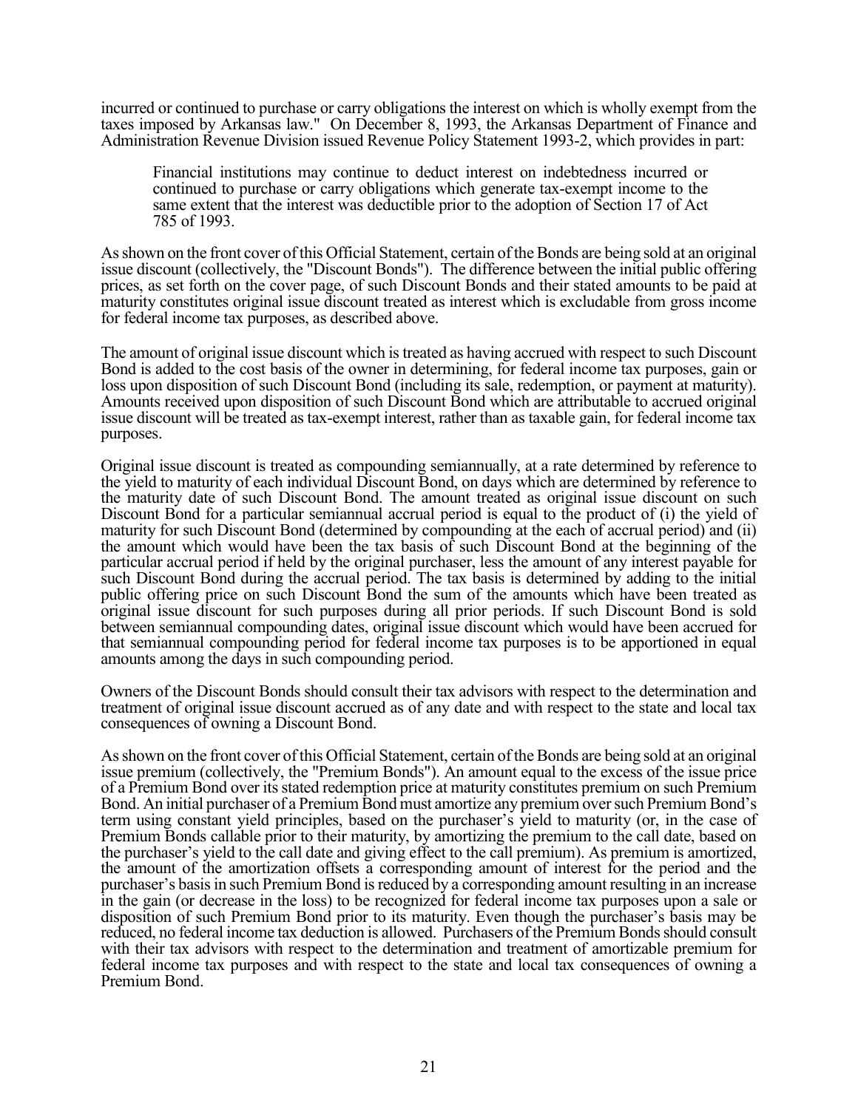incurred or continued to purchase or carry obligations the interest on which is wholly exempt from the taxes imposed by Arkansas law." On December 8, 1993, the Arkansas Department of Finance and Administration Revenue Division issued Revenue Policy Statement 1993-2, which provides in part:

 Financial institutions may continue to deduct interest on indebtedness incurred or continued to purchase or carry obligations which generate tax-exempt income to the same extent that the interest was deductible prior to the adoption of Section 17 of Act 785 of 1993.

As shown on the front cover of this Official Statement, certain of the Bonds are being sold at an original issue discount (collectively, the "Discount Bonds"). The difference between the initial public offering prices, as set forth on the cover page, of such Discount Bonds and their stated amounts to be paid at maturity constitutes original issue discount treated as interest which is excludable from gross income for federal income tax purposes, as described above.

The amount of original issue discount which is treated as having accrued with respect to such Discount Bond is added to the cost basis of the owner in determining, for federal income tax purposes, gain or loss upon disposition of such Discount Bond (including its sale, redemption, or payment at maturity). Amounts received upon disposition of such Discount Bond which are attributable to accrued original issue discount will be treated as tax-exempt interest, rather than as taxable gain, for federal income tax purposes.

Original issue discount is treated as compounding semiannually, at a rate determined by reference to the yield to maturity of each individual Discount Bond, on days which are determined by reference to the maturity date of such Discount Bond. The amount treated as original issue discount on such Discount Bond for a particular semiannual accrual period is equal to the product of (i) the yield of maturity for such Discount Bond (determined by compounding at the each of accrual period) and (ii) the amount which would have been the tax basis of such Discount Bond at the beginning of the particular accrual period if held by the original purchaser, less the amount of any interest payable for such Discount Bond during the accrual period. The tax basis is determined by adding to the initial public offering price on such Discount Bond the sum of the amounts which have been treated as original issue discount for such purposes during all prior periods. If such Discount Bond is sold between semiannual compounding dates, original issue discount which would have been accrued for that semiannual compounding period for federal income tax purposes is to be apportioned in equal amounts among the days in such compounding period.

Owners of the Discount Bonds should consult their tax advisors with respect to the determination and treatment of original issue discount accrued as of any date and with respect to the state and local tax consequences of owning a Discount Bond.

As shown on the front cover of this Official Statement, certain of the Bonds are being sold at an original issue premium (collectively, the "Premium Bonds"). An amount equal to the excess of the issue price of a Premium Bond over its stated redemption price at maturity constitutes premium on such Premium Bond. An initial purchaser of a Premium Bond must amortize any premium over such Premium Bond's term using constant yield principles, based on the purchaser's yield to maturity (or, in the case of Premium Bonds callable prior to their maturity, by amortizing the premium to the call date, based on the purchaser's yield to the call date and giving effect to the call premium). As premium is amortized, the amount of the amortization offsets a corresponding amount of interest for the period and the purchaser's basis in such Premium Bond is reduced by a corresponding amount resulting in an increase in the gain (or decrease in the loss) to be recognized for federal income tax purposes upon a sale or disposition of such Premium Bond prior to its maturity. Even though the purchaser's basis may be reduced, no federal income tax deduction is allowed. Purchasers of the Premium Bonds should consult with their tax advisors with respect to the determination and treatment of amortizable premium for federal income tax purposes and with respect to the state and local tax consequences of owning a Premium Bond.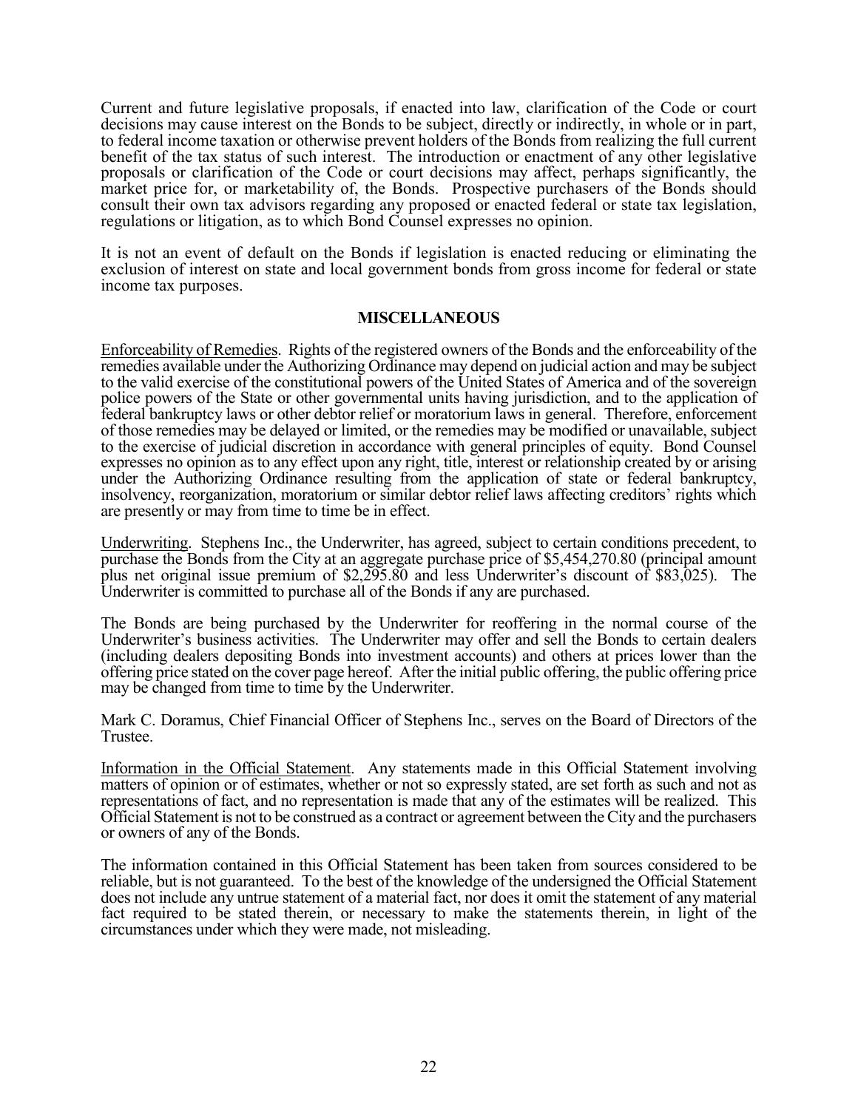Current and future legislative proposals, if enacted into law, clarification of the Code or court decisions may cause interest on the Bonds to be subject, directly or indirectly, in whole or in part, to federal income taxation or otherwise prevent holders of the Bonds from realizing the full current benefit of the tax status of such interest. The introduction or enactment of any other legislative proposals or clarification of the Code or court decisions may affect, perhaps significantly, the market price for, or marketability of, the Bonds. Prospective purchasers of the Bonds should consult their own tax advisors regarding any proposed or enacted federal or state tax legislation, regulations or litigation, as to which Bond Counsel expresses no opinion.

It is not an event of default on the Bonds if legislation is enacted reducing or eliminating the exclusion of interest on state and local government bonds from gross income for federal or state income tax purposes.

#### **MISCELLANEOUS**

Enforceability of Remedies. Rights of the registered owners of the Bonds and the enforceability of the remedies available under the Authorizing Ordinance may depend on judicial action and may be subject to the valid exercise of the constitutional powers of the United States of America and of the sovereign police powers of the State or other governmental units having jurisdiction, and to the application of federal bankruptcy laws or other debtor relief or moratorium laws in general. Therefore, enforcement of those remedies may be delayed or limited, or the remedies may be modified or unavailable, subject to the exercise of judicial discretion in accordance with general principles of equity. Bond Counsel expresses no opinion as to any effect upon any right, title, interest or relationship created by or arising under the Authorizing Ordinance resulting from the application of state or federal bankruptcy, insolvency, reorganization, moratorium or similar debtor relief laws affecting creditors' rights which are presently or may from time to time be in effect.

Underwriting. Stephens Inc., the Underwriter, has agreed, subject to certain conditions precedent, to purchase the Bonds from the City at an aggregate purchase price of \$5,454,270.80 (principal amount plus net original issue premium of \$2,295.80 and less Underwriter's discount of \$83,025). The Underwriter is committed to purchase all of the Bonds if any are purchased.

The Bonds are being purchased by the Underwriter for reoffering in the normal course of the Underwriter's business activities. The Underwriter may offer and sell the Bonds to certain dealers (including dealers depositing Bonds into investment accounts) and others at prices lower than the offering price stated on the cover page hereof. After the initial public offering, the public offering price may be changed from time to time by the Underwriter.

Mark C. Doramus, Chief Financial Officer of Stephens Inc., serves on the Board of Directors of the Trustee.

Information in the Official Statement. Any statements made in this Official Statement involving matters of opinion or of estimates, whether or not so expressly stated, are set forth as such and not as representations of fact, and no representation is made that any of the estimates will be realized. This Official Statement is not to be construed as a contract or agreement between the City and the purchasers or owners of any of the Bonds.

The information contained in this Official Statement has been taken from sources considered to be reliable, but is not guaranteed. To the best of the knowledge of the undersigned the Official Statement does not include any untrue statement of a material fact, nor does it omit the statement of any material fact required to be stated therein, or necessary to make the statements therein, in light of the circumstances under which they were made, not misleading.